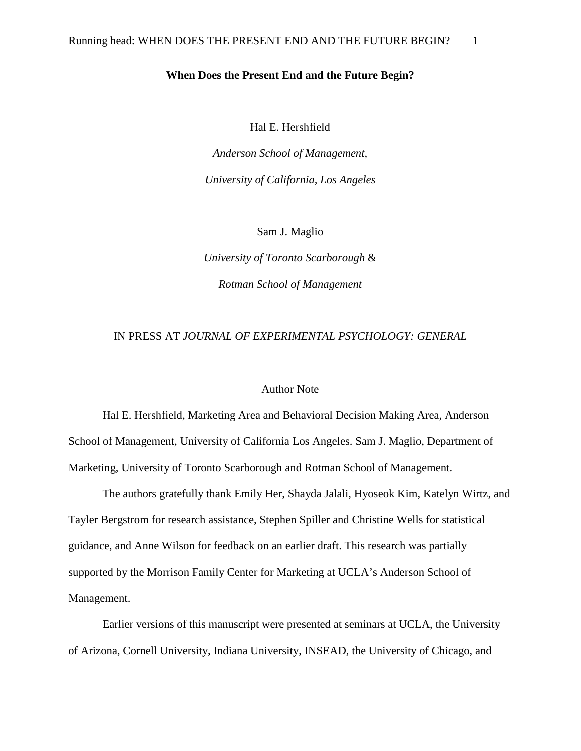## **When Does the Present End and the Future Begin?**

Hal E. Hershfield

*Anderson School of Management, University of California, Los Angeles*

Sam J. Maglio

*University of Toronto Scarborough* & *Rotman School of Management*

## IN PRESS AT *JOURNAL OF EXPERIMENTAL PSYCHOLOGY: GENERAL*

## Author Note

Hal E. Hershfield, Marketing Area and Behavioral Decision Making Area, Anderson School of Management, University of California Los Angeles. Sam J. Maglio, Department of Marketing, University of Toronto Scarborough and Rotman School of Management.

The authors gratefully thank Emily Her, Shayda Jalali, Hyoseok Kim, Katelyn Wirtz, and Tayler Bergstrom for research assistance, Stephen Spiller and Christine Wells for statistical guidance, and Anne Wilson for feedback on an earlier draft. This research was partially supported by the Morrison Family Center for Marketing at UCLA's Anderson School of Management.

Earlier versions of this manuscript were presented at seminars at UCLA, the University of Arizona, Cornell University, Indiana University, INSEAD, the University of Chicago, and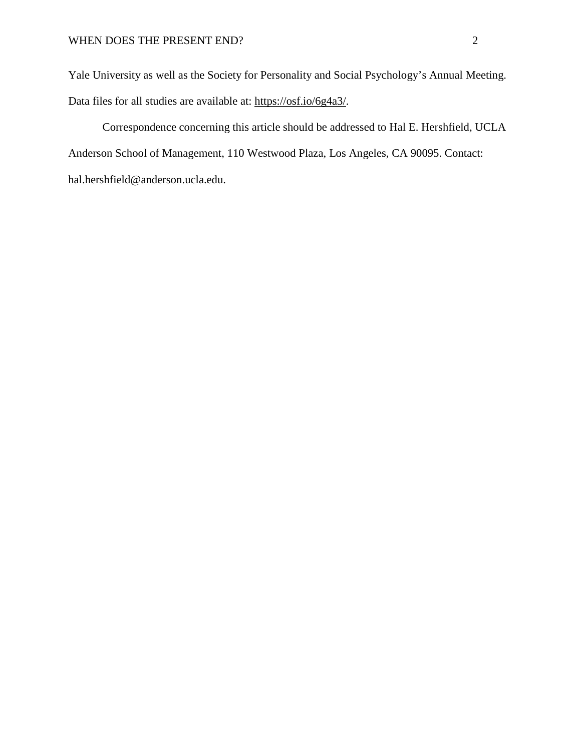Yale University as well as the Society for Personality and Social Psychology's Annual Meeting. Data files for all studies are available at: [https://osf.io/6g4a3/.](https://osf.io/6g4a3/)

Correspondence concerning this article should be addressed to Hal E. Hershfield, UCLA Anderson School of Management, 110 Westwood Plaza, Los Angeles, CA 90095. Contact: [hal.hershfield@anderson.ucla.edu.](mailto:hal.hershfield@anderson.ucla.edu)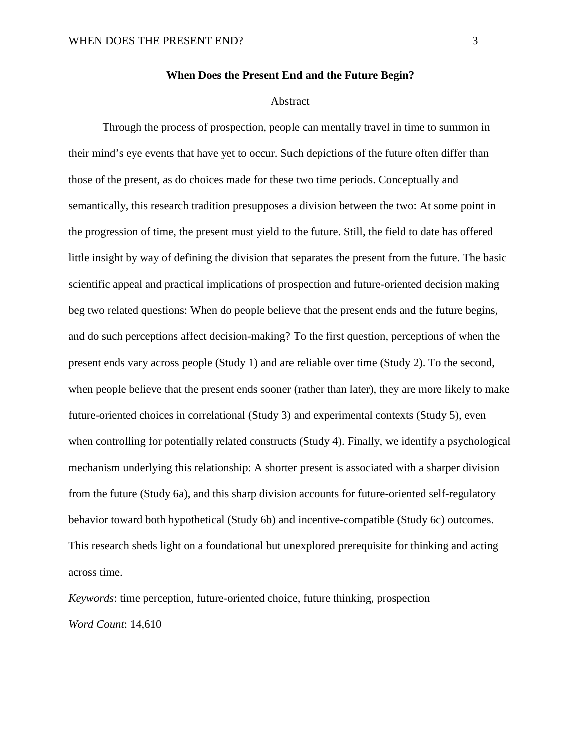#### Abstract

Through the process of prospection, people can mentally travel in time to summon in their mind's eye events that have yet to occur. Such depictions of the future often differ than those of the present, as do choices made for these two time periods. Conceptually and semantically, this research tradition presupposes a division between the two: At some point in the progression of time, the present must yield to the future. Still, the field to date has offered little insight by way of defining the division that separates the present from the future. The basic scientific appeal and practical implications of prospection and future-oriented decision making beg two related questions: When do people believe that the present ends and the future begins, and do such perceptions affect decision-making? To the first question, perceptions of when the present ends vary across people (Study 1) and are reliable over time (Study 2). To the second, when people believe that the present ends sooner (rather than later), they are more likely to make future-oriented choices in correlational (Study 3) and experimental contexts (Study 5), even when controlling for potentially related constructs (Study 4). Finally, we identify a psychological mechanism underlying this relationship: A shorter present is associated with a sharper division from the future (Study 6a), and this sharp division accounts for future-oriented self-regulatory behavior toward both hypothetical (Study 6b) and incentive-compatible (Study 6c) outcomes. This research sheds light on a foundational but unexplored prerequisite for thinking and acting across time.

*Keywords*: time perception, future-oriented choice, future thinking, prospection *Word Count*: 14,610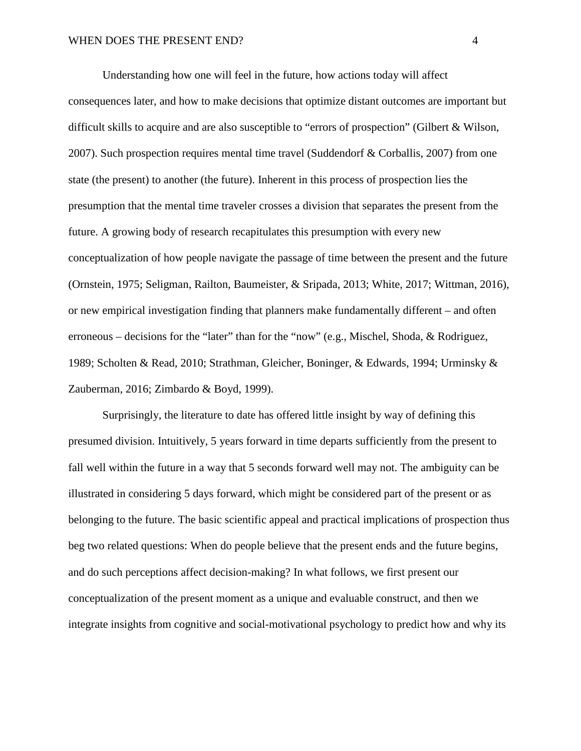Understanding how one will feel in the future, how actions today will affect consequences later, and how to make decisions that optimize distant outcomes are important but difficult skills to acquire and are also susceptible to "errors of prospection" (Gilbert & Wilson, 2007). Such prospection requires mental time travel (Suddendorf & Corballis, 2007) from one state (the present) to another (the future). Inherent in this process of prospection lies the presumption that the mental time traveler crosses a division that separates the present from the future. A growing body of research recapitulates this presumption with every new conceptualization of how people navigate the passage of time between the present and the future (Ornstein, 1975; Seligman, Railton, Baumeister, & Sripada, 2013; White, 2017; Wittman, 2016), or new empirical investigation finding that planners make fundamentally different – and often erroneous – decisions for the "later" than for the "now" (e.g., Mischel, Shoda, & Rodriguez, 1989; Scholten & Read, 2010; Strathman, Gleicher, Boninger, & Edwards, 1994; Urminsky & Zauberman, 2016; Zimbardo & Boyd, 1999).

Surprisingly, the literature to date has offered little insight by way of defining this presumed division. Intuitively, 5 years forward in time departs sufficiently from the present to fall well within the future in a way that 5 seconds forward well may not. The ambiguity can be illustrated in considering 5 days forward, which might be considered part of the present or as belonging to the future. The basic scientific appeal and practical implications of prospection thus beg two related questions: When do people believe that the present ends and the future begins, and do such perceptions affect decision-making? In what follows, we first present our conceptualization of the present moment as a unique and evaluable construct, and then we integrate insights from cognitive and social-motivational psychology to predict how and why its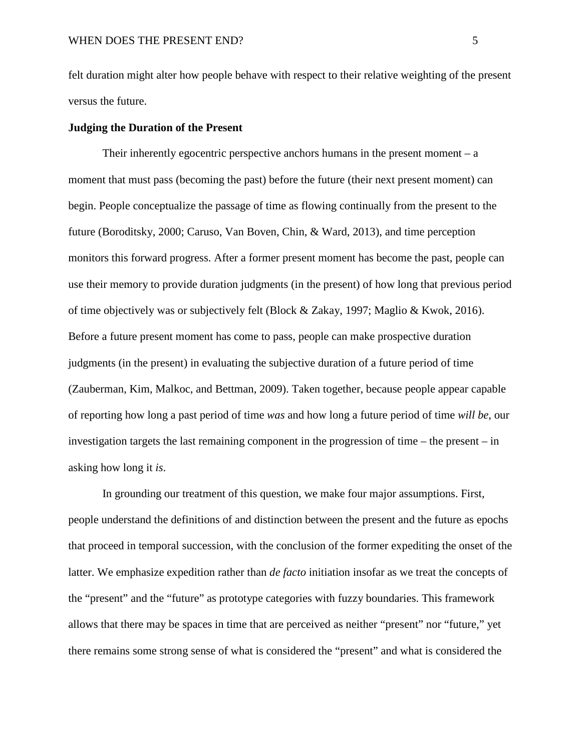felt duration might alter how people behave with respect to their relative weighting of the present versus the future.

## **Judging the Duration of the Present**

Their inherently egocentric perspective anchors humans in the present moment  $-a$ moment that must pass (becoming the past) before the future (their next present moment) can begin. People conceptualize the passage of time as flowing continually from the present to the future (Boroditsky, 2000; Caruso, Van Boven, Chin, & Ward, 2013), and time perception monitors this forward progress. After a former present moment has become the past, people can use their memory to provide duration judgments (in the present) of how long that previous period of time objectively was or subjectively felt (Block & Zakay, 1997; Maglio & Kwok, 2016). Before a future present moment has come to pass, people can make prospective duration judgments (in the present) in evaluating the subjective duration of a future period of time (Zauberman, Kim, Malkoc, and Bettman, 2009). Taken together, because people appear capable of reporting how long a past period of time *was* and how long a future period of time *will be*, our investigation targets the last remaining component in the progression of time – the present – in asking how long it *is*.

In grounding our treatment of this question, we make four major assumptions. First, people understand the definitions of and distinction between the present and the future as epochs that proceed in temporal succession, with the conclusion of the former expediting the onset of the latter. We emphasize expedition rather than *de facto* initiation insofar as we treat the concepts of the "present" and the "future" as prototype categories with fuzzy boundaries. This framework allows that there may be spaces in time that are perceived as neither "present" nor "future," yet there remains some strong sense of what is considered the "present" and what is considered the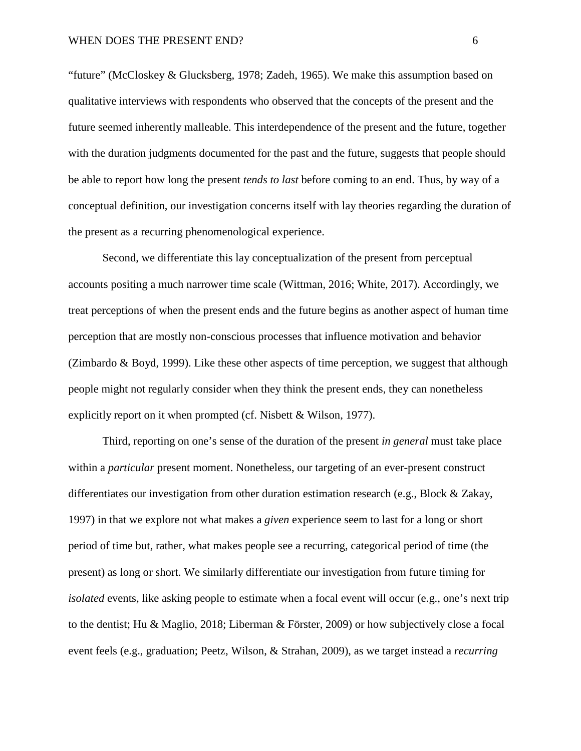"future" (McCloskey & Glucksberg, 1978; Zadeh, 1965). We make this assumption based on qualitative interviews with respondents who observed that the concepts of the present and the future seemed inherently malleable. This interdependence of the present and the future, together with the duration judgments documented for the past and the future, suggests that people should be able to report how long the present *tends to last* before coming to an end. Thus, by way of a conceptual definition, our investigation concerns itself with lay theories regarding the duration of the present as a recurring phenomenological experience.

Second, we differentiate this lay conceptualization of the present from perceptual accounts positing a much narrower time scale (Wittman, 2016; White, 2017). Accordingly, we treat perceptions of when the present ends and the future begins as another aspect of human time perception that are mostly non-conscious processes that influence motivation and behavior (Zimbardo & Boyd, 1999). Like these other aspects of time perception, we suggest that although people might not regularly consider when they think the present ends, they can nonetheless explicitly report on it when prompted (cf. Nisbett & Wilson, 1977).

Third, reporting on one's sense of the duration of the present *in general* must take place within a *particular* present moment. Nonetheless, our targeting of an ever-present construct differentiates our investigation from other duration estimation research (e.g., Block & Zakay, 1997) in that we explore not what makes a *given* experience seem to last for a long or short period of time but, rather, what makes people see a recurring, categorical period of time (the present) as long or short. We similarly differentiate our investigation from future timing for *isolated* events, like asking people to estimate when a focal event will occur (e.g., one's next trip to the dentist; Hu & Maglio, 2018; Liberman & Förster, 2009) or how subjectively close a focal event feels (e.g., graduation; Peetz, Wilson, & Strahan, 2009), as we target instead a *recurring*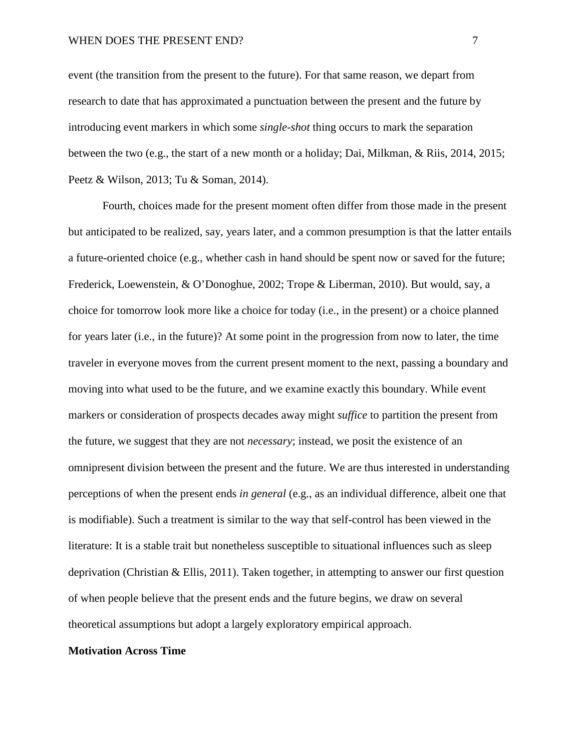event (the transition from the present to the future). For that same reason, we depart from research to date that has approximated a punctuation between the present and the future by introducing event markers in which some *single-shot* thing occurs to mark the separation between the two (e.g., the start of a new month or a holiday; Dai, Milkman, & Riis, 2014, 2015; Peetz & Wilson, 2013; Tu & Soman, 2014).

Fourth, choices made for the present moment often differ from those made in the present but anticipated to be realized, say, years later, and a common presumption is that the latter entails a future-oriented choice (e.g., whether cash in hand should be spent now or saved for the future; Frederick, Loewenstein, & O'Donoghue, 2002; Trope & Liberman, 2010). But would, say, a choice for tomorrow look more like a choice for today (i.e., in the present) or a choice planned for years later (i.e., in the future)? At some point in the progression from now to later, the time traveler in everyone moves from the current present moment to the next, passing a boundary and moving into what used to be the future, and we examine exactly this boundary. While event markers or consideration of prospects decades away might *suffice* to partition the present from the future, we suggest that they are not *necessary*; instead, we posit the existence of an omnipresent division between the present and the future. We are thus interested in understanding perceptions of when the present ends *in general* (e.g., as an individual difference, albeit one that is modifiable). Such a treatment is similar to the way that self-control has been viewed in the literature: It is a stable trait but nonetheless susceptible to situational influences such as sleep deprivation (Christian & Ellis, 2011). Taken together, in attempting to answer our first question of when people believe that the present ends and the future begins, we draw on several theoretical assumptions but adopt a largely exploratory empirical approach.

#### **Motivation Across Time**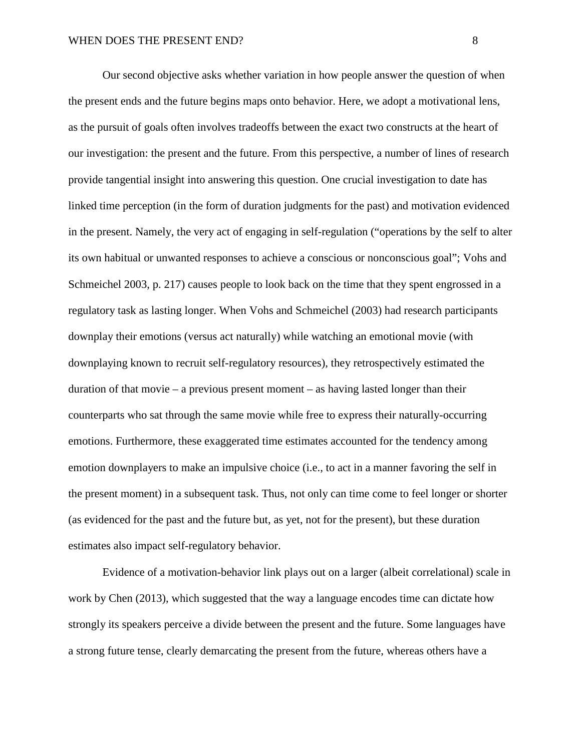Our second objective asks whether variation in how people answer the question of when the present ends and the future begins maps onto behavior. Here, we adopt a motivational lens, as the pursuit of goals often involves tradeoffs between the exact two constructs at the heart of our investigation: the present and the future. From this perspective, a number of lines of research provide tangential insight into answering this question. One crucial investigation to date has linked time perception (in the form of duration judgments for the past) and motivation evidenced in the present. Namely, the very act of engaging in self-regulation ("operations by the self to alter its own habitual or unwanted responses to achieve a conscious or nonconscious goal"; Vohs and Schmeichel 2003, p. 217) causes people to look back on the time that they spent engrossed in a regulatory task as lasting longer. When Vohs and Schmeichel (2003) had research participants downplay their emotions (versus act naturally) while watching an emotional movie (with downplaying known to recruit self-regulatory resources), they retrospectively estimated the duration of that movie – a previous present moment – as having lasted longer than their counterparts who sat through the same movie while free to express their naturally-occurring emotions. Furthermore, these exaggerated time estimates accounted for the tendency among emotion downplayers to make an impulsive choice (i.e., to act in a manner favoring the self in the present moment) in a subsequent task. Thus, not only can time come to feel longer or shorter (as evidenced for the past and the future but, as yet, not for the present), but these duration estimates also impact self-regulatory behavior.

Evidence of a motivation-behavior link plays out on a larger (albeit correlational) scale in work by Chen (2013), which suggested that the way a language encodes time can dictate how strongly its speakers perceive a divide between the present and the future. Some languages have a strong future tense, clearly demarcating the present from the future, whereas others have a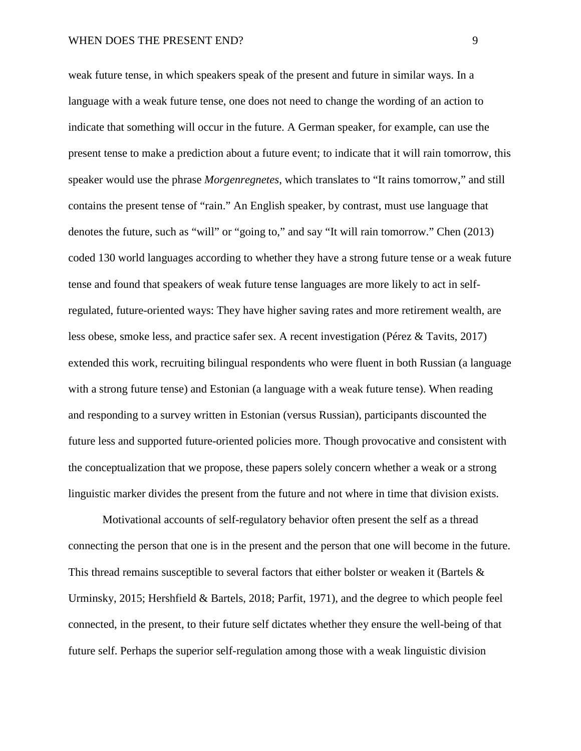weak future tense, in which speakers speak of the present and future in similar ways. In a language with a weak future tense, one does not need to change the wording of an action to indicate that something will occur in the future. A German speaker, for example, can use the present tense to make a prediction about a future event; to indicate that it will rain tomorrow, this speaker would use the phrase *Morgenregnetes*, which translates to "It rains tomorrow," and still contains the present tense of "rain." An English speaker, by contrast, must use language that denotes the future, such as "will" or "going to," and say "It will rain tomorrow." Chen (2013) coded 130 world languages according to whether they have a strong future tense or a weak future tense and found that speakers of weak future tense languages are more likely to act in selfregulated, future-oriented ways: They have higher saving rates and more retirement wealth, are less obese, smoke less, and practice safer sex. A recent investigation (Pérez & Tavits, 2017) extended this work, recruiting bilingual respondents who were fluent in both Russian (a language with a strong future tense) and Estonian (a language with a weak future tense). When reading and responding to a survey written in Estonian (versus Russian), participants discounted the future less and supported future-oriented policies more. Though provocative and consistent with the conceptualization that we propose, these papers solely concern whether a weak or a strong linguistic marker divides the present from the future and not where in time that division exists.

Motivational accounts of self-regulatory behavior often present the self as a thread connecting the person that one is in the present and the person that one will become in the future. This thread remains susceptible to several factors that either bolster or weaken it (Bartels  $\&$ Urminsky, 2015; Hershfield & Bartels, 2018; Parfit, 1971), and the degree to which people feel connected, in the present, to their future self dictates whether they ensure the well-being of that future self. Perhaps the superior self-regulation among those with a weak linguistic division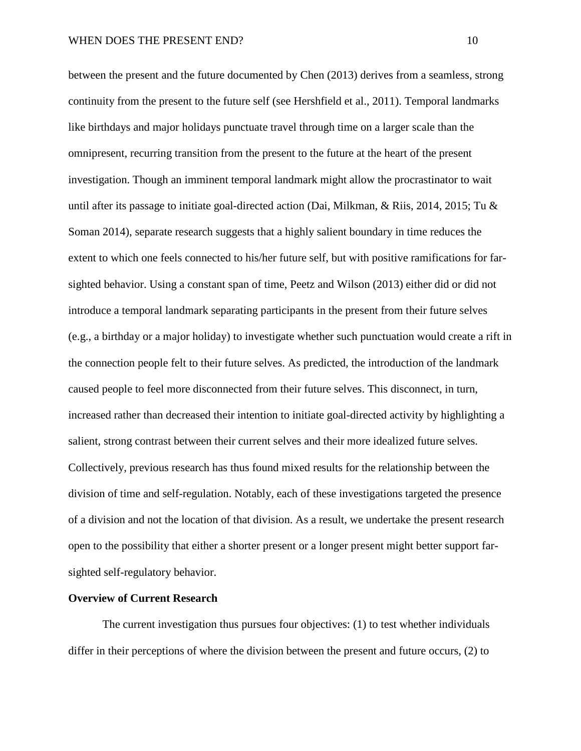between the present and the future documented by Chen (2013) derives from a seamless, strong continuity from the present to the future self (see Hershfield et al., 2011). Temporal landmarks like birthdays and major holidays punctuate travel through time on a larger scale than the omnipresent, recurring transition from the present to the future at the heart of the present investigation. Though an imminent temporal landmark might allow the procrastinator to wait until after its passage to initiate goal-directed action (Dai, Milkman, & Riis, 2014, 2015; Tu & Soman 2014), separate research suggests that a highly salient boundary in time reduces the extent to which one feels connected to his/her future self, but with positive ramifications for farsighted behavior. Using a constant span of time, Peetz and Wilson (2013) either did or did not introduce a temporal landmark separating participants in the present from their future selves (e.g., a birthday or a major holiday) to investigate whether such punctuation would create a rift in the connection people felt to their future selves. As predicted, the introduction of the landmark caused people to feel more disconnected from their future selves. This disconnect, in turn, increased rather than decreased their intention to initiate goal-directed activity by highlighting a salient, strong contrast between their current selves and their more idealized future selves. Collectively, previous research has thus found mixed results for the relationship between the division of time and self-regulation. Notably, each of these investigations targeted the presence of a division and not the location of that division. As a result, we undertake the present research open to the possibility that either a shorter present or a longer present might better support farsighted self-regulatory behavior.

## **Overview of Current Research**

The current investigation thus pursues four objectives: (1) to test whether individuals differ in their perceptions of where the division between the present and future occurs, (2) to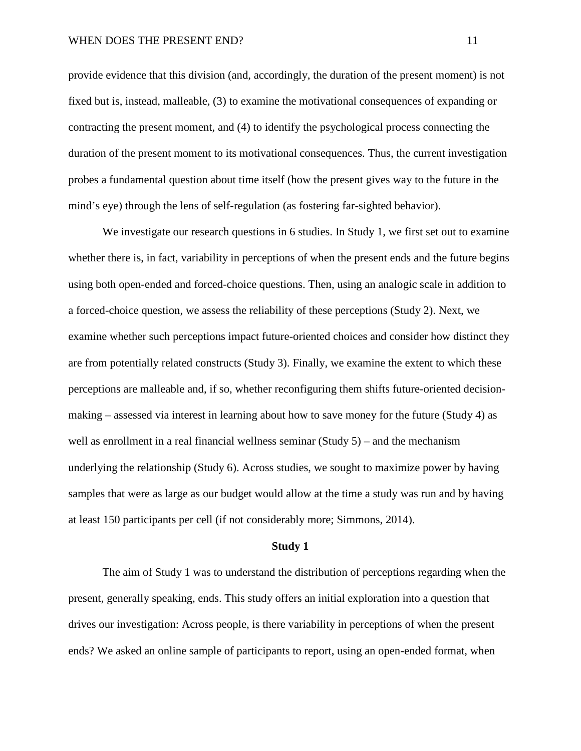provide evidence that this division (and, accordingly, the duration of the present moment) is not fixed but is, instead, malleable, (3) to examine the motivational consequences of expanding or contracting the present moment, and (4) to identify the psychological process connecting the duration of the present moment to its motivational consequences. Thus, the current investigation probes a fundamental question about time itself (how the present gives way to the future in the mind's eye) through the lens of self-regulation (as fostering far-sighted behavior).

We investigate our research questions in 6 studies. In Study 1, we first set out to examine whether there is, in fact, variability in perceptions of when the present ends and the future begins using both open-ended and forced-choice questions. Then, using an analogic scale in addition to a forced-choice question, we assess the reliability of these perceptions (Study 2). Next, we examine whether such perceptions impact future-oriented choices and consider how distinct they are from potentially related constructs (Study 3). Finally, we examine the extent to which these perceptions are malleable and, if so, whether reconfiguring them shifts future-oriented decisionmaking – assessed via interest in learning about how to save money for the future (Study 4) as well as enrollment in a real financial wellness seminar  $(Study 5)$  – and the mechanism underlying the relationship (Study 6). Across studies, we sought to maximize power by having samples that were as large as our budget would allow at the time a study was run and by having at least 150 participants per cell (if not considerably more; Simmons, 2014).

#### **Study 1**

The aim of Study 1 was to understand the distribution of perceptions regarding when the present, generally speaking, ends. This study offers an initial exploration into a question that drives our investigation: Across people, is there variability in perceptions of when the present ends? We asked an online sample of participants to report, using an open-ended format, when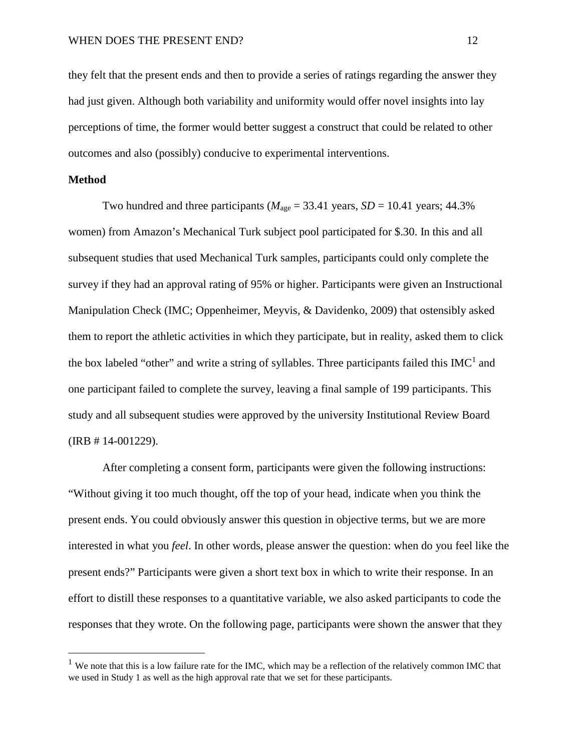they felt that the present ends and then to provide a series of ratings regarding the answer they had just given. Although both variability and uniformity would offer novel insights into lay perceptions of time, the former would better suggest a construct that could be related to other outcomes and also (possibly) conducive to experimental interventions.

## **Method**

Two hundred and three participants ( $M_{\text{age}} = 33.41$  years,  $SD = 10.41$  years; 44.3% women) from Amazon's Mechanical Turk subject pool participated for \$.30. In this and all subsequent studies that used Mechanical Turk samples, participants could only complete the survey if they had an approval rating of 95% or higher. Participants were given an Instructional Manipulation Check (IMC; Oppenheimer, Meyvis, & Davidenko, 2009) that ostensibly asked them to report the athletic activities in which they participate, but in reality, asked them to click the box labeled "other" and write a string of syllables. Three participants failed this  $IMC<sup>1</sup>$  and one participant failed to complete the survey, leaving a final sample of 199 participants. This study and all subsequent studies were approved by the university Institutional Review Board (IRB # 14-001229).

After completing a consent form, participants were given the following instructions: "Without giving it too much thought, off the top of your head, indicate when you think the present ends. You could obviously answer this question in objective terms, but we are more interested in what you *feel*. In other words, please answer the question: when do you feel like the present ends?" Participants were given a short text box in which to write their response. In an effort to distill these responses to a quantitative variable, we also asked participants to code the responses that they wrote. On the following page, participants were shown the answer that they

 $<sup>1</sup>$  We note that this is a low failure rate for the IMC, which may be a reflection of the relatively common IMC that</sup> we used in Study 1 as well as the high approval rate that we set for these participants.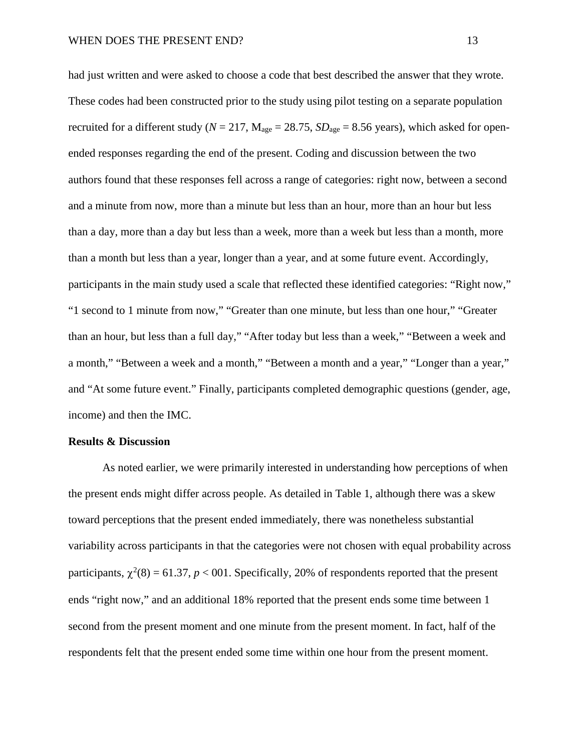had just written and were asked to choose a code that best described the answer that they wrote. These codes had been constructed prior to the study using pilot testing on a separate population recruited for a different study ( $N = 217$ ,  $M_{\text{age}} = 28.75$ ,  $SD_{\text{age}} = 8.56$  years), which asked for openended responses regarding the end of the present. Coding and discussion between the two authors found that these responses fell across a range of categories: right now, between a second and a minute from now, more than a minute but less than an hour, more than an hour but less than a day, more than a day but less than a week, more than a week but less than a month, more than a month but less than a year, longer than a year, and at some future event. Accordingly, participants in the main study used a scale that reflected these identified categories: "Right now," "1 second to 1 minute from now," "Greater than one minute, but less than one hour," "Greater than an hour, but less than a full day," "After today but less than a week," "Between a week and a month," "Between a week and a month," "Between a month and a year," "Longer than a year," and "At some future event." Finally, participants completed demographic questions (gender, age, income) and then the IMC.

#### **Results & Discussion**

As noted earlier, we were primarily interested in understanding how perceptions of when the present ends might differ across people. As detailed in Table 1, although there was a skew toward perceptions that the present ended immediately, there was nonetheless substantial variability across participants in that the categories were not chosen with equal probability across participants,  $\chi^2(8) = 61.37$ ,  $p < 001$ . Specifically, 20% of respondents reported that the present ends "right now," and an additional 18% reported that the present ends some time between 1 second from the present moment and one minute from the present moment. In fact, half of the respondents felt that the present ended some time within one hour from the present moment.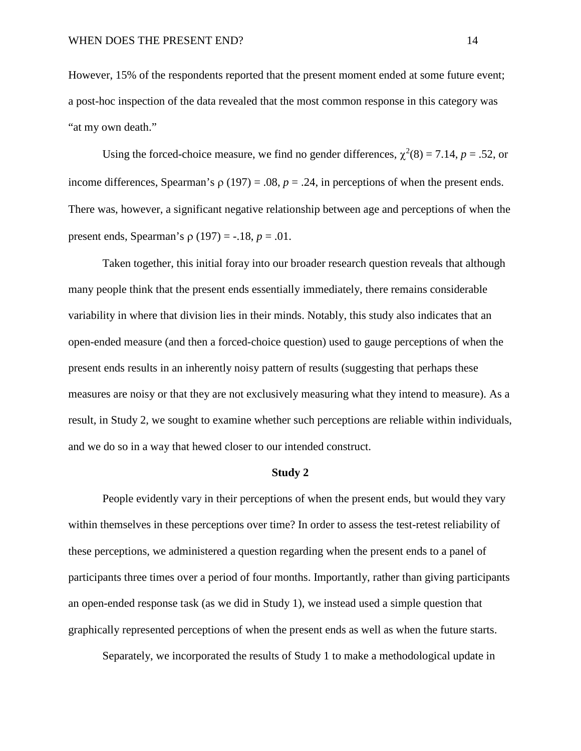However, 15% of the respondents reported that the present moment ended at some future event; a post-hoc inspection of the data revealed that the most common response in this category was "at my own death."

Using the forced-choice measure, we find no gender differences,  $\chi^2(8) = 7.14$ ,  $p = .52$ , or income differences, Spearman's  $\rho$  (197) = .08,  $p = .24$ , in perceptions of when the present ends. There was, however, a significant negative relationship between age and perceptions of when the present ends, Spearman's ρ (197) = -.18, *p* = .01.

Taken together, this initial foray into our broader research question reveals that although many people think that the present ends essentially immediately, there remains considerable variability in where that division lies in their minds. Notably, this study also indicates that an open-ended measure (and then a forced-choice question) used to gauge perceptions of when the present ends results in an inherently noisy pattern of results (suggesting that perhaps these measures are noisy or that they are not exclusively measuring what they intend to measure). As a result, in Study 2, we sought to examine whether such perceptions are reliable within individuals, and we do so in a way that hewed closer to our intended construct.

#### **Study 2**

People evidently vary in their perceptions of when the present ends, but would they vary within themselves in these perceptions over time? In order to assess the test-retest reliability of these perceptions, we administered a question regarding when the present ends to a panel of participants three times over a period of four months. Importantly, rather than giving participants an open-ended response task (as we did in Study 1), we instead used a simple question that graphically represented perceptions of when the present ends as well as when the future starts.

Separately, we incorporated the results of Study 1 to make a methodological update in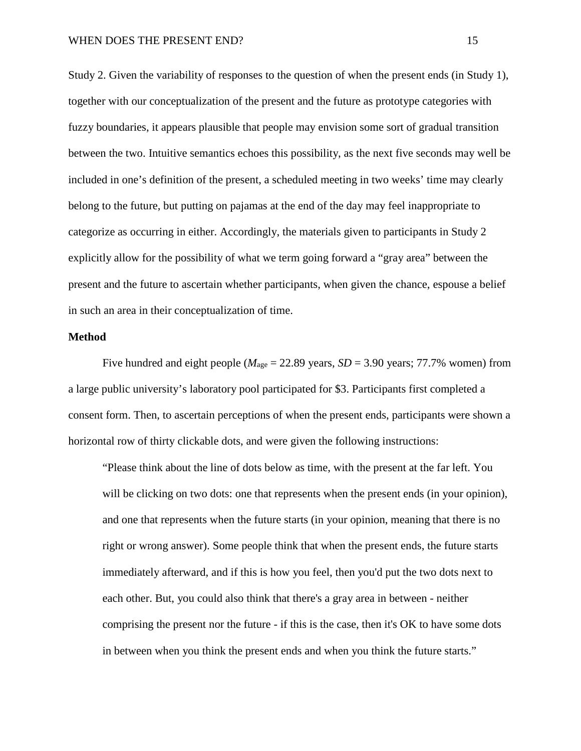Study 2. Given the variability of responses to the question of when the present ends (in Study 1), together with our conceptualization of the present and the future as prototype categories with fuzzy boundaries, it appears plausible that people may envision some sort of gradual transition between the two. Intuitive semantics echoes this possibility, as the next five seconds may well be included in one's definition of the present, a scheduled meeting in two weeks' time may clearly belong to the future, but putting on pajamas at the end of the day may feel inappropriate to categorize as occurring in either. Accordingly, the materials given to participants in Study 2 explicitly allow for the possibility of what we term going forward a "gray area" between the present and the future to ascertain whether participants, when given the chance, espouse a belief in such an area in their conceptualization of time.

### **Method**

Five hundred and eight people ( $M_{\text{age}} = 22.89$  years,  $SD = 3.90$  years; 77.7% women) from a large public university's laboratory pool participated for \$3. Participants first completed a consent form. Then, to ascertain perceptions of when the present ends, participants were shown a horizontal row of thirty clickable dots, and were given the following instructions:

"Please think about the line of dots below as time, with the present at the far left. You will be clicking on two dots: one that represents when the present ends (in your opinion), and one that represents when the future starts (in your opinion, meaning that there is no right or wrong answer). Some people think that when the present ends, the future starts immediately afterward, and if this is how you feel, then you'd put the two dots next to each other. But, you could also think that there's a gray area in between - neither comprising the present nor the future - if this is the case, then it's OK to have some dots in between when you think the present ends and when you think the future starts."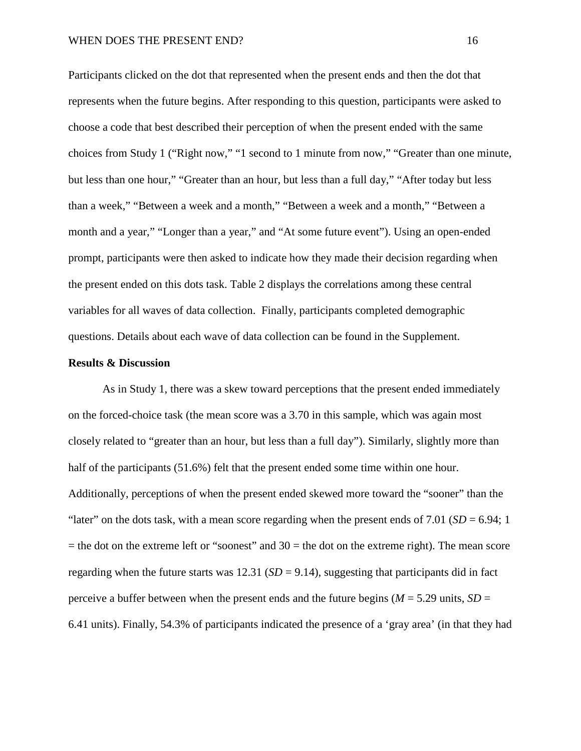Participants clicked on the dot that represented when the present ends and then the dot that represents when the future begins. After responding to this question, participants were asked to choose a code that best described their perception of when the present ended with the same choices from Study 1 ("Right now," "1 second to 1 minute from now," "Greater than one minute, but less than one hour," "Greater than an hour, but less than a full day," "After today but less than a week," "Between a week and a month," "Between a week and a month," "Between a month and a year," "Longer than a year," and "At some future event"). Using an open-ended prompt, participants were then asked to indicate how they made their decision regarding when the present ended on this dots task. Table 2 displays the correlations among these central variables for all waves of data collection. Finally, participants completed demographic questions. Details about each wave of data collection can be found in the Supplement.

## **Results & Discussion**

As in Study 1, there was a skew toward perceptions that the present ended immediately on the forced-choice task (the mean score was a 3.70 in this sample, which was again most closely related to "greater than an hour, but less than a full day"). Similarly, slightly more than half of the participants (51.6%) felt that the present ended some time within one hour. Additionally, perceptions of when the present ended skewed more toward the "sooner" than the "later" on the dots task, with a mean score regarding when the present ends of 7.01 (*SD* = 6.94; 1  $=$  the dot on the extreme left or "soonest" and 30  $=$  the dot on the extreme right). The mean score regarding when the future starts was  $12.31$  ( $SD = 9.14$ ), suggesting that participants did in fact perceive a buffer between when the present ends and the future begins  $(M = 5.29 \text{ units}, SD =$ 6.41 units). Finally, 54.3% of participants indicated the presence of a 'gray area' (in that they had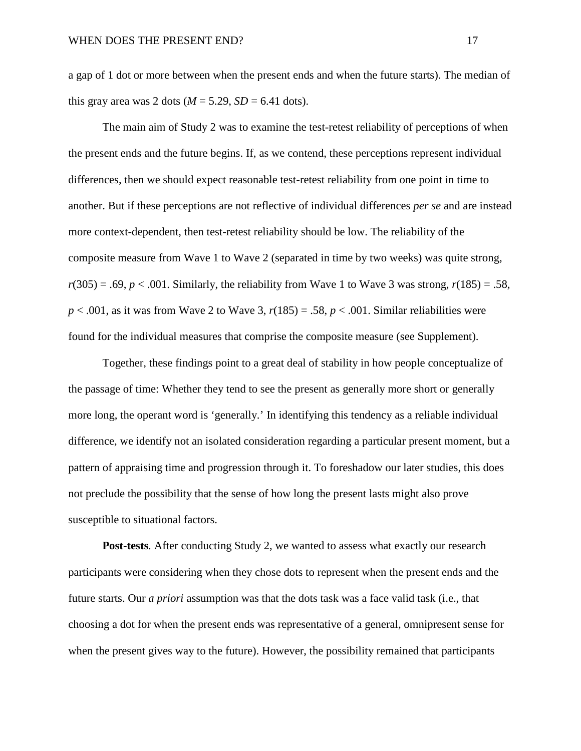a gap of 1 dot or more between when the present ends and when the future starts). The median of this gray area was 2 dots ( $M = 5.29$ ,  $SD = 6.41$  dots).

The main aim of Study 2 was to examine the test-retest reliability of perceptions of when the present ends and the future begins. If, as we contend, these perceptions represent individual differences, then we should expect reasonable test-retest reliability from one point in time to another. But if these perceptions are not reflective of individual differences *per se* and are instead more context-dependent, then test-retest reliability should be low. The reliability of the composite measure from Wave 1 to Wave 2 (separated in time by two weeks) was quite strong,  $r(305) = .69$ ,  $p < .001$ . Similarly, the reliability from Wave 1 to Wave 3 was strong,  $r(185) = .58$ , *p* < .001, as it was from Wave 2 to Wave 3, *r*(185) = .58, *p* < .001. Similar reliabilities were found for the individual measures that comprise the composite measure (see Supplement).

Together, these findings point to a great deal of stability in how people conceptualize of the passage of time: Whether they tend to see the present as generally more short or generally more long, the operant word is 'generally.' In identifying this tendency as a reliable individual difference, we identify not an isolated consideration regarding a particular present moment, but a pattern of appraising time and progression through it. To foreshadow our later studies, this does not preclude the possibility that the sense of how long the present lasts might also prove susceptible to situational factors.

**Post-tests***.* After conducting Study 2, we wanted to assess what exactly our research participants were considering when they chose dots to represent when the present ends and the future starts. Our *a priori* assumption was that the dots task was a face valid task (i.e., that choosing a dot for when the present ends was representative of a general, omnipresent sense for when the present gives way to the future). However, the possibility remained that participants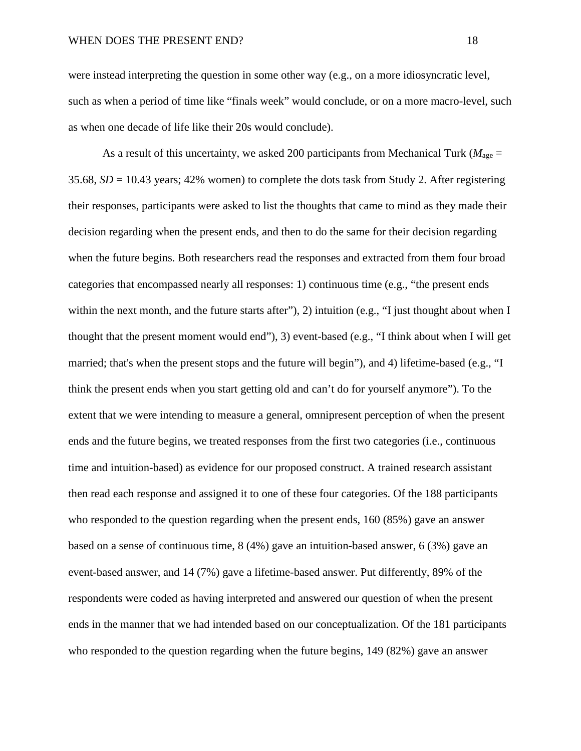were instead interpreting the question in some other way (e.g., on a more idiosyncratic level, such as when a period of time like "finals week" would conclude, or on a more macro-level, such as when one decade of life like their 20s would conclude).

As a result of this uncertainty, we asked 200 participants from Mechanical Turk ( $M_{\text{age}} =$ 35.68, *SD* = 10.43 years; 42% women) to complete the dots task from Study 2. After registering their responses, participants were asked to list the thoughts that came to mind as they made their decision regarding when the present ends, and then to do the same for their decision regarding when the future begins. Both researchers read the responses and extracted from them four broad categories that encompassed nearly all responses: 1) continuous time (e.g., "the present ends within the next month, and the future starts after"), 2) intuition (e.g., "I just thought about when I thought that the present moment would end"), 3) event-based (e.g., "I think about when I will get married; that's when the present stops and the future will begin"), and 4) lifetime-based (e.g., "I think the present ends when you start getting old and can't do for yourself anymore"). To the extent that we were intending to measure a general, omnipresent perception of when the present ends and the future begins, we treated responses from the first two categories (i.e., continuous time and intuition-based) as evidence for our proposed construct. A trained research assistant then read each response and assigned it to one of these four categories. Of the 188 participants who responded to the question regarding when the present ends, 160 (85%) gave an answer based on a sense of continuous time, 8 (4%) gave an intuition-based answer, 6 (3%) gave an event-based answer, and 14 (7%) gave a lifetime-based answer. Put differently, 89% of the respondents were coded as having interpreted and answered our question of when the present ends in the manner that we had intended based on our conceptualization. Of the 181 participants who responded to the question regarding when the future begins, 149 (82%) gave an answer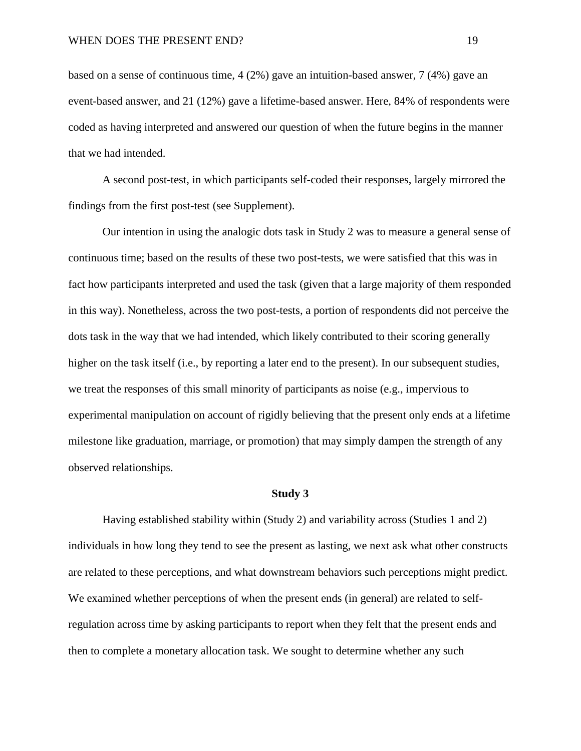based on a sense of continuous time,  $4(2%)$  gave an intuition-based answer,  $7(4%)$  gave an event-based answer, and 21 (12%) gave a lifetime-based answer. Here, 84% of respondents were coded as having interpreted and answered our question of when the future begins in the manner that we had intended.

A second post-test, in which participants self-coded their responses, largely mirrored the findings from the first post-test (see Supplement).

Our intention in using the analogic dots task in Study 2 was to measure a general sense of continuous time; based on the results of these two post-tests, we were satisfied that this was in fact how participants interpreted and used the task (given that a large majority of them responded in this way). Nonetheless, across the two post-tests, a portion of respondents did not perceive the dots task in the way that we had intended, which likely contributed to their scoring generally higher on the task itself (i.e., by reporting a later end to the present). In our subsequent studies, we treat the responses of this small minority of participants as noise (e.g., impervious to experimental manipulation on account of rigidly believing that the present only ends at a lifetime milestone like graduation, marriage, or promotion) that may simply dampen the strength of any observed relationships.

#### **Study 3**

Having established stability within (Study 2) and variability across (Studies 1 and 2) individuals in how long they tend to see the present as lasting, we next ask what other constructs are related to these perceptions, and what downstream behaviors such perceptions might predict. We examined whether perceptions of when the present ends (in general) are related to selfregulation across time by asking participants to report when they felt that the present ends and then to complete a monetary allocation task. We sought to determine whether any such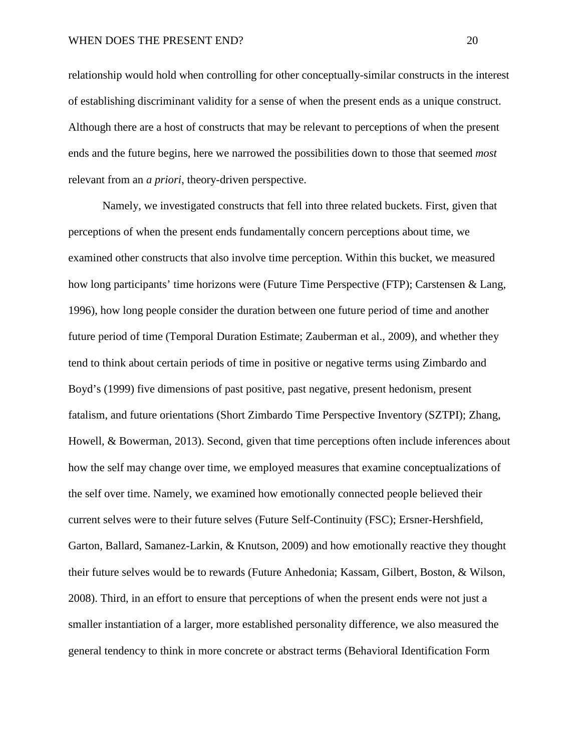relationship would hold when controlling for other conceptually-similar constructs in the interest of establishing discriminant validity for a sense of when the present ends as a unique construct. Although there are a host of constructs that may be relevant to perceptions of when the present ends and the future begins, here we narrowed the possibilities down to those that seemed *most* relevant from an *a priori*, theory-driven perspective.

Namely, we investigated constructs that fell into three related buckets. First, given that perceptions of when the present ends fundamentally concern perceptions about time, we examined other constructs that also involve time perception. Within this bucket, we measured how long participants' time horizons were (Future Time Perspective (FTP); Carstensen & Lang, 1996), how long people consider the duration between one future period of time and another future period of time (Temporal Duration Estimate; Zauberman et al., 2009), and whether they tend to think about certain periods of time in positive or negative terms using Zimbardo and Boyd's (1999) five dimensions of past positive, past negative, present hedonism, present fatalism, and future orientations (Short Zimbardo Time Perspective Inventory (SZTPI); Zhang, Howell, & Bowerman, 2013). Second, given that time perceptions often include inferences about how the self may change over time, we employed measures that examine conceptualizations of the self over time. Namely, we examined how emotionally connected people believed their current selves were to their future selves (Future Self-Continuity (FSC); Ersner-Hershfield, Garton, Ballard, Samanez-Larkin, & Knutson, 2009) and how emotionally reactive they thought their future selves would be to rewards (Future Anhedonia; Kassam, Gilbert, Boston, & Wilson, 2008). Third, in an effort to ensure that perceptions of when the present ends were not just a smaller instantiation of a larger, more established personality difference, we also measured the general tendency to think in more concrete or abstract terms (Behavioral Identification Form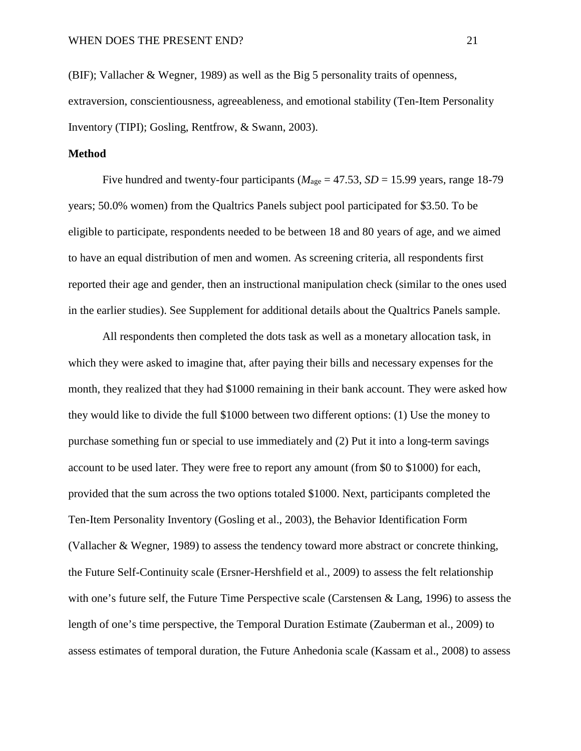(BIF); Vallacher & Wegner, 1989) as well as the Big 5 personality traits of openness, extraversion, conscientiousness, agreeableness, and emotional stability (Ten-Item Personality Inventory (TIPI); Gosling, Rentfrow, & Swann, 2003).

## **Method**

Five hundred and twenty-four participants ( $M_{\text{age}} = 47.53$ ,  $SD = 15.99$  years, range 18-79 years; 50.0% women) from the Qualtrics Panels subject pool participated for \$3.50. To be eligible to participate, respondents needed to be between 18 and 80 years of age, and we aimed to have an equal distribution of men and women. As screening criteria, all respondents first reported their age and gender, then an instructional manipulation check (similar to the ones used in the earlier studies). See Supplement for additional details about the Qualtrics Panels sample.

All respondents then completed the dots task as well as a monetary allocation task, in which they were asked to imagine that, after paying their bills and necessary expenses for the month, they realized that they had \$1000 remaining in their bank account. They were asked how they would like to divide the full \$1000 between two different options: (1) Use the money to purchase something fun or special to use immediately and (2) Put it into a long-term savings account to be used later. They were free to report any amount (from \$0 to \$1000) for each, provided that the sum across the two options totaled \$1000. Next, participants completed the Ten-Item Personality Inventory (Gosling et al., 2003), the Behavior Identification Form (Vallacher & Wegner, 1989) to assess the tendency toward more abstract or concrete thinking, the Future Self-Continuity scale (Ersner-Hershfield et al., 2009) to assess the felt relationship with one's future self, the Future Time Perspective scale (Carstensen & Lang, 1996) to assess the length of one's time perspective, the Temporal Duration Estimate (Zauberman et al., 2009) to assess estimates of temporal duration, the Future Anhedonia scale (Kassam et al., 2008) to assess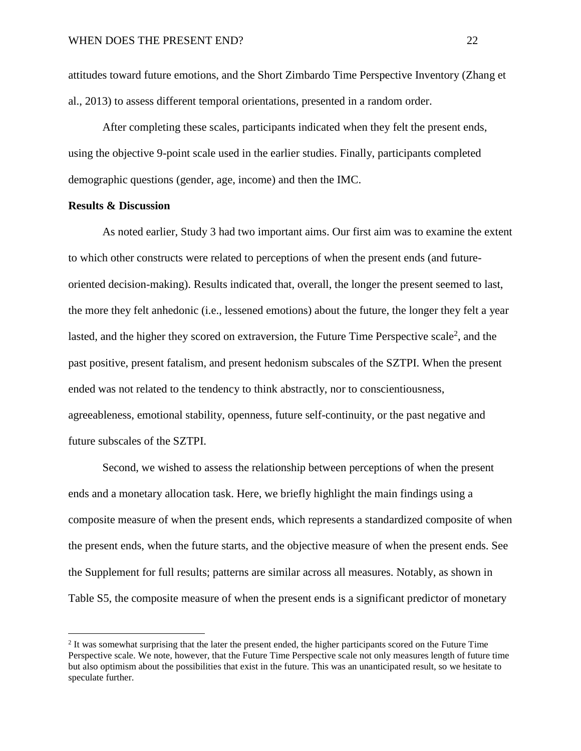attitudes toward future emotions, and the Short Zimbardo Time Perspective Inventory (Zhang et al., 2013) to assess different temporal orientations, presented in a random order.

After completing these scales, participants indicated when they felt the present ends, using the objective 9-point scale used in the earlier studies. Finally, participants completed demographic questions (gender, age, income) and then the IMC.

## **Results & Discussion**

As noted earlier, Study 3 had two important aims. Our first aim was to examine the extent to which other constructs were related to perceptions of when the present ends (and futureoriented decision-making). Results indicated that, overall, the longer the present seemed to last, the more they felt anhedonic (i.e., lessened emotions) about the future, the longer they felt a year lasted, and the higher they scored on extraversion, the Future Time Perspective scale<sup>2</sup>, and the past positive, present fatalism, and present hedonism subscales of the SZTPI. When the present ended was not related to the tendency to think abstractly, nor to conscientiousness, agreeableness, emotional stability, openness, future self-continuity, or the past negative and future subscales of the SZTPI.

Second, we wished to assess the relationship between perceptions of when the present ends and a monetary allocation task. Here, we briefly highlight the main findings using a composite measure of when the present ends, which represents a standardized composite of when the present ends, when the future starts, and the objective measure of when the present ends. See the Supplement for full results; patterns are similar across all measures. Notably, as shown in Table S5, the composite measure of when the present ends is a significant predictor of monetary

<sup>&</sup>lt;sup>2</sup> It was somewhat surprising that the later the present ended, the higher participants scored on the Future Time Perspective scale. We note, however, that the Future Time Perspective scale not only measures length of future time but also optimism about the possibilities that exist in the future. This was an unanticipated result, so we hesitate to speculate further.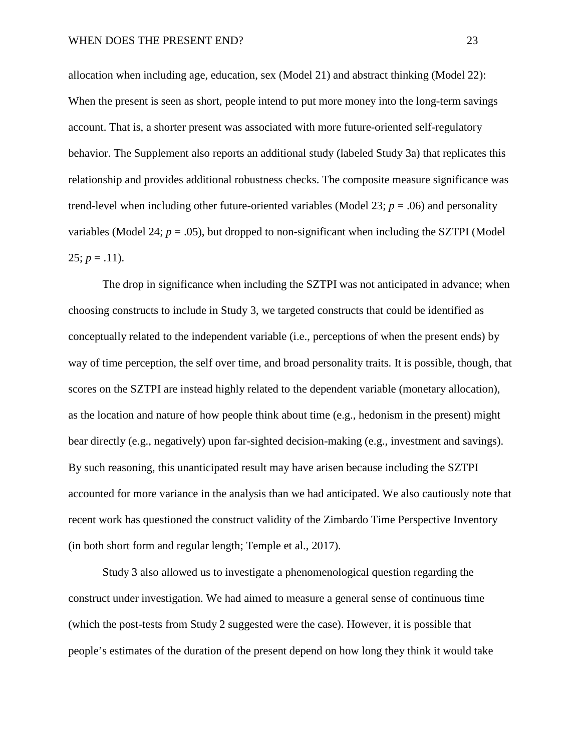allocation when including age, education, sex (Model 21) and abstract thinking (Model 22): When the present is seen as short, people intend to put more money into the long-term savings account. That is, a shorter present was associated with more future-oriented self-regulatory behavior. The Supplement also reports an additional study (labeled Study 3a) that replicates this relationship and provides additional robustness checks. The composite measure significance was trend-level when including other future-oriented variables (Model 23;  $p = .06$ ) and personality variables (Model 24;  $p = .05$ ), but dropped to non-significant when including the SZTPI (Model  $25$ ;  $p = .11$ ).

The drop in significance when including the SZTPI was not anticipated in advance; when choosing constructs to include in Study 3, we targeted constructs that could be identified as conceptually related to the independent variable (i.e., perceptions of when the present ends) by way of time perception, the self over time, and broad personality traits. It is possible, though, that scores on the SZTPI are instead highly related to the dependent variable (monetary allocation), as the location and nature of how people think about time (e.g., hedonism in the present) might bear directly (e.g., negatively) upon far-sighted decision-making (e.g., investment and savings). By such reasoning, this unanticipated result may have arisen because including the SZTPI accounted for more variance in the analysis than we had anticipated. We also cautiously note that recent work has questioned the construct validity of the Zimbardo Time Perspective Inventory (in both short form and regular length; Temple et al., 2017).

Study 3 also allowed us to investigate a phenomenological question regarding the construct under investigation. We had aimed to measure a general sense of continuous time (which the post-tests from Study 2 suggested were the case). However, it is possible that people's estimates of the duration of the present depend on how long they think it would take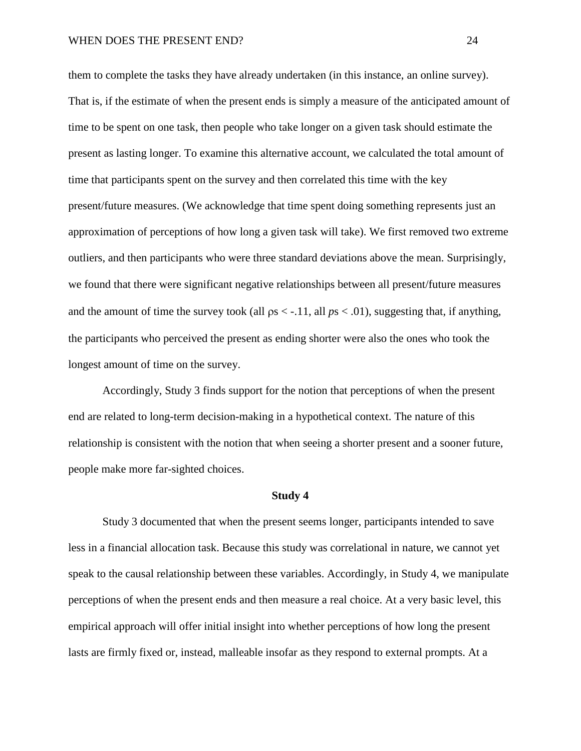them to complete the tasks they have already undertaken (in this instance, an online survey). That is, if the estimate of when the present ends is simply a measure of the anticipated amount of time to be spent on one task, then people who take longer on a given task should estimate the present as lasting longer. To examine this alternative account, we calculated the total amount of time that participants spent on the survey and then correlated this time with the key present/future measures. (We acknowledge that time spent doing something represents just an approximation of perceptions of how long a given task will take). We first removed two extreme outliers, and then participants who were three standard deviations above the mean. Surprisingly, we found that there were significant negative relationships between all present/future measures and the amount of time the survey took (all  $ps < -0.11$ , all  $ps < 0.01$ ), suggesting that, if anything, the participants who perceived the present as ending shorter were also the ones who took the longest amount of time on the survey.

Accordingly, Study 3 finds support for the notion that perceptions of when the present end are related to long-term decision-making in a hypothetical context. The nature of this relationship is consistent with the notion that when seeing a shorter present and a sooner future, people make more far-sighted choices.

#### **Study 4**

Study 3 documented that when the present seems longer, participants intended to save less in a financial allocation task. Because this study was correlational in nature, we cannot yet speak to the causal relationship between these variables. Accordingly, in Study 4, we manipulate perceptions of when the present ends and then measure a real choice. At a very basic level, this empirical approach will offer initial insight into whether perceptions of how long the present lasts are firmly fixed or, instead, malleable insofar as they respond to external prompts. At a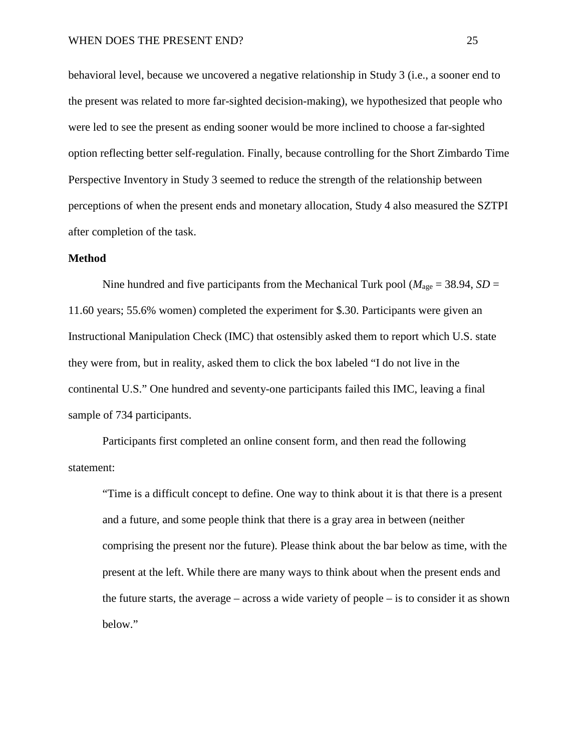behavioral level, because we uncovered a negative relationship in Study 3 (i.e., a sooner end to the present was related to more far-sighted decision-making), we hypothesized that people who were led to see the present as ending sooner would be more inclined to choose a far-sighted option reflecting better self-regulation. Finally, because controlling for the Short Zimbardo Time Perspective Inventory in Study 3 seemed to reduce the strength of the relationship between perceptions of when the present ends and monetary allocation, Study 4 also measured the SZTPI after completion of the task.

## **Method**

Nine hundred and five participants from the Mechanical Turk pool ( $M_{\text{age}} = 38.94$ , *SD* = 11.60 years; 55.6% women) completed the experiment for \$.30. Participants were given an Instructional Manipulation Check (IMC) that ostensibly asked them to report which U.S. state they were from, but in reality, asked them to click the box labeled "I do not live in the continental U.S." One hundred and seventy-one participants failed this IMC, leaving a final sample of 734 participants.

Participants first completed an online consent form, and then read the following statement:

"Time is a difficult concept to define. One way to think about it is that there is a present and a future, and some people think that there is a gray area in between (neither comprising the present nor the future). Please think about the bar below as time, with the present at the left. While there are many ways to think about when the present ends and the future starts, the average – across a wide variety of people – is to consider it as shown below."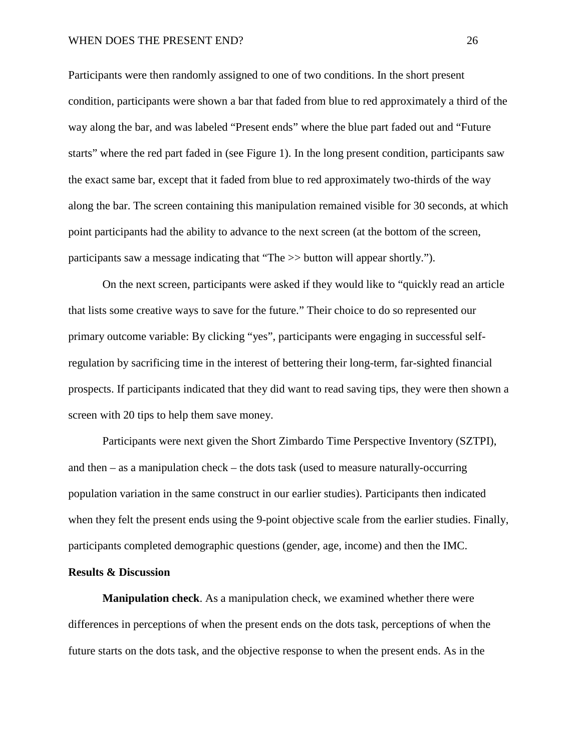#### WHEN DOES THE PRESENT END? 26

Participants were then randomly assigned to one of two conditions. In the short present condition, participants were shown a bar that faded from blue to red approximately a third of the way along the bar, and was labeled "Present ends" where the blue part faded out and "Future starts" where the red part faded in (see Figure 1). In the long present condition, participants saw the exact same bar, except that it faded from blue to red approximately two-thirds of the way along the bar. The screen containing this manipulation remained visible for 30 seconds, at which point participants had the ability to advance to the next screen (at the bottom of the screen, participants saw a message indicating that "The >> button will appear shortly.").

On the next screen, participants were asked if they would like to "quickly read an article that lists some creative ways to save for the future." Their choice to do so represented our primary outcome variable: By clicking "yes", participants were engaging in successful selfregulation by sacrificing time in the interest of bettering their long-term, far-sighted financial prospects. If participants indicated that they did want to read saving tips, they were then shown a screen with 20 tips to help them save money.

Participants were next given the Short Zimbardo Time Perspective Inventory (SZTPI), and then – as a manipulation check – the dots task (used to measure naturally-occurring population variation in the same construct in our earlier studies). Participants then indicated when they felt the present ends using the 9-point objective scale from the earlier studies. Finally, participants completed demographic questions (gender, age, income) and then the IMC.

## **Results & Discussion**

**Manipulation check**. As a manipulation check, we examined whether there were differences in perceptions of when the present ends on the dots task, perceptions of when the future starts on the dots task, and the objective response to when the present ends. As in the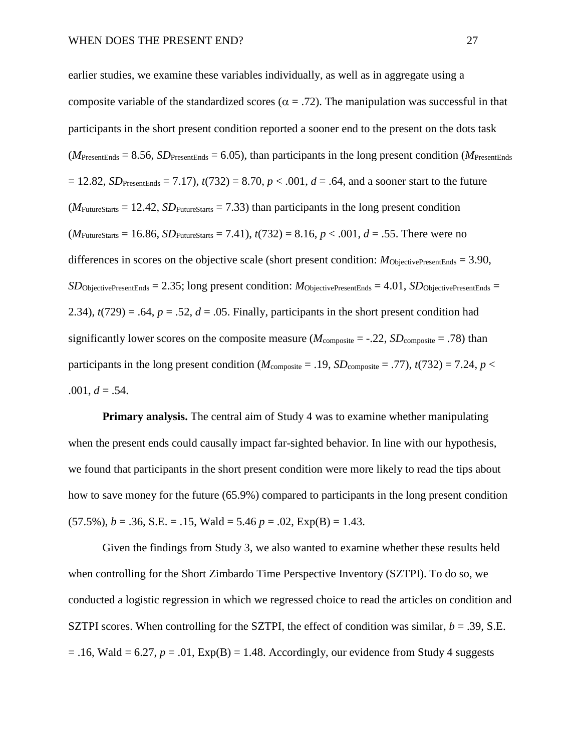earlier studies, we examine these variables individually, as well as in aggregate using a composite variable of the standardized scores ( $\alpha = .72$ ). The manipulation was successful in that participants in the short present condition reported a sooner end to the present on the dots task  $(M_{\text{PresentEnds}} = 8.56, SD_{\text{PresentEnds}} = 6.05)$ , than participants in the long present condition ( $M_{\text{PresentEnds}}$ )  $= 12.82$ , *SD*<sub>PresentEnds</sub>  $= 7.17$ ,  $t(732) = 8.70$ ,  $p < .001$ ,  $d = .64$ , and a sooner start to the future  $(M_{\text{FutureStatus}} = 12.42, SD_{\text{FutureStatus}} = 7.33)$  than participants in the long present condition  $(M_{\text{FutureStats}} = 16.86, SD_{\text{FutureStats}} = 7.41), t(732) = 8.16, p < .001, d = .55.$  There were no differences in scores on the objective scale (short present condition:  $M_{\text{ObjectivePresentEnds}} = 3.90$ ,  $SD$ ObjectivePresentEnds = 2.35; long present condition:  $M$ ObjectivePresentEnds = 4.01,  $SD$ ObjectivePresentEnds = 2.34),  $t(729) = .64$ ,  $p = .52$ ,  $d = .05$ . Finally, participants in the short present condition had significantly lower scores on the composite measure ( $M_{\text{composite}} = -.22$ ,  $SD_{\text{composite}} = .78$ ) than participants in the long present condition ( $M_{\text{composite}} = .19$ ,  $SD_{\text{composite}} = .77$ ),  $t(732) = 7.24$ ,  $p <$  $.001, d = .54.$ 

**Primary analysis.** The central aim of Study 4 was to examine whether manipulating when the present ends could causally impact far-sighted behavior. In line with our hypothesis, we found that participants in the short present condition were more likely to read the tips about how to save money for the future (65.9%) compared to participants in the long present condition  $(57.5\%)$ ,  $b = .36$ , S.E. = .15, Wald = 5.46  $p = .02$ , Exp(B) = 1.43.

Given the findings from Study 3, we also wanted to examine whether these results held when controlling for the Short Zimbardo Time Perspective Inventory (SZTPI). To do so, we conducted a logistic regression in which we regressed choice to read the articles on condition and SZTPI scores. When controlling for the SZTPI, the effect of condition was similar,  $b = .39$ , S.E.  $= .16$ , Wald  $= 6.27$ ,  $p = .01$ ,  $Exp(B) = 1.48$ . Accordingly, our evidence from Study 4 suggests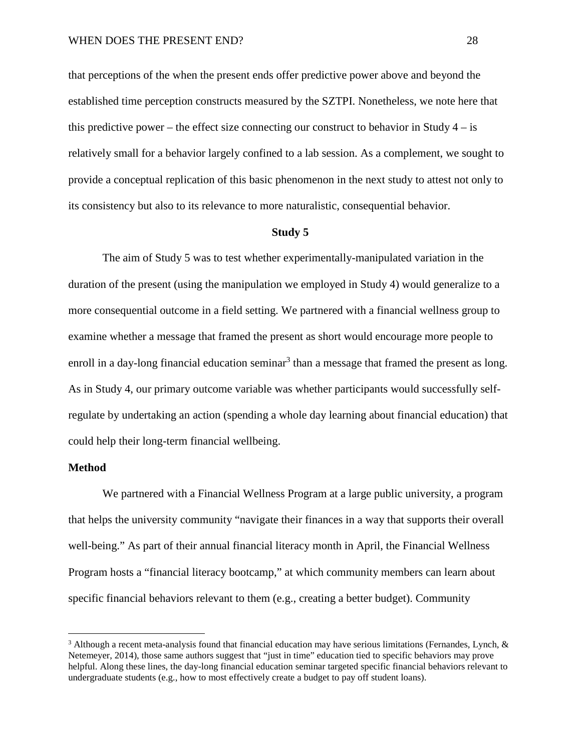that perceptions of the when the present ends offer predictive power above and beyond the established time perception constructs measured by the SZTPI. Nonetheless, we note here that this predictive power – the effect size connecting our construct to behavior in Study  $4 - is$ relatively small for a behavior largely confined to a lab session. As a complement, we sought to provide a conceptual replication of this basic phenomenon in the next study to attest not only to its consistency but also to its relevance to more naturalistic, consequential behavior.

#### **Study 5**

The aim of Study 5 was to test whether experimentally-manipulated variation in the duration of the present (using the manipulation we employed in Study 4) would generalize to a more consequential outcome in a field setting. We partnered with a financial wellness group to examine whether a message that framed the present as short would encourage more people to enroll in a day-long financial education seminar<sup>3</sup> than a message that framed the present as long. As in Study 4, our primary outcome variable was whether participants would successfully selfregulate by undertaking an action (spending a whole day learning about financial education) that could help their long-term financial wellbeing.

## **Method**

We partnered with a Financial Wellness Program at a large public university, a program that helps the university community "navigate their finances in a way that supports their overall well-being." As part of their annual financial literacy month in April, the Financial Wellness Program hosts a "financial literacy bootcamp," at which community members can learn about specific financial behaviors relevant to them (e.g., creating a better budget). Community

<sup>&</sup>lt;sup>3</sup> Although a recent meta-analysis found that financial education may have serious limitations (Fernandes, Lynch,  $\&$ Netemeyer, 2014), those same authors suggest that "just in time" education tied to specific behaviors may prove helpful. Along these lines, the day-long financial education seminar targeted specific financial behaviors relevant to undergraduate students (e.g., how to most effectively create a budget to pay off student loans).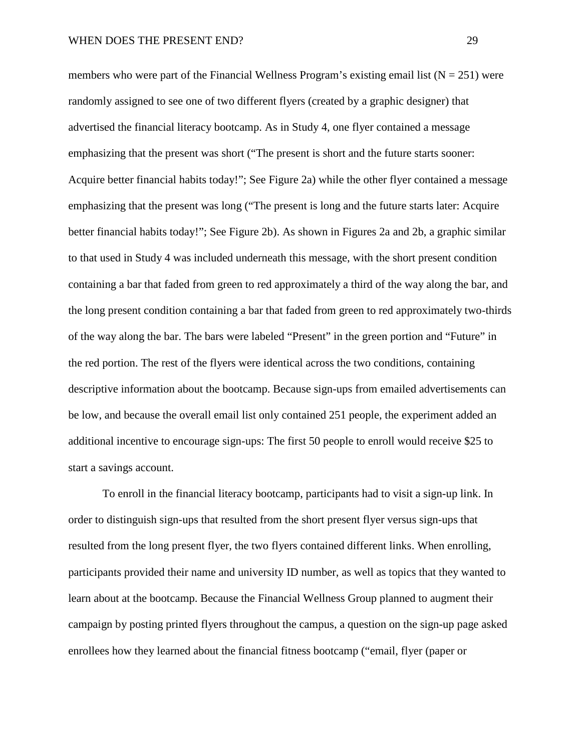members who were part of the Financial Wellness Program's existing email list  $(N = 251)$  were randomly assigned to see one of two different flyers (created by a graphic designer) that advertised the financial literacy bootcamp. As in Study 4, one flyer contained a message emphasizing that the present was short ("The present is short and the future starts sooner: Acquire better financial habits today!"; See Figure 2a) while the other flyer contained a message emphasizing that the present was long ("The present is long and the future starts later: Acquire better financial habits today!"; See Figure 2b). As shown in Figures 2a and 2b, a graphic similar to that used in Study 4 was included underneath this message, with the short present condition containing a bar that faded from green to red approximately a third of the way along the bar, and the long present condition containing a bar that faded from green to red approximately two-thirds of the way along the bar. The bars were labeled "Present" in the green portion and "Future" in the red portion. The rest of the flyers were identical across the two conditions, containing descriptive information about the bootcamp. Because sign-ups from emailed advertisements can be low, and because the overall email list only contained 251 people, the experiment added an additional incentive to encourage sign-ups: The first 50 people to enroll would receive \$25 to start a savings account.

To enroll in the financial literacy bootcamp, participants had to visit a sign-up link. In order to distinguish sign-ups that resulted from the short present flyer versus sign-ups that resulted from the long present flyer, the two flyers contained different links. When enrolling, participants provided their name and university ID number, as well as topics that they wanted to learn about at the bootcamp. Because the Financial Wellness Group planned to augment their campaign by posting printed flyers throughout the campus, a question on the sign-up page asked enrollees how they learned about the financial fitness bootcamp ("email, flyer (paper or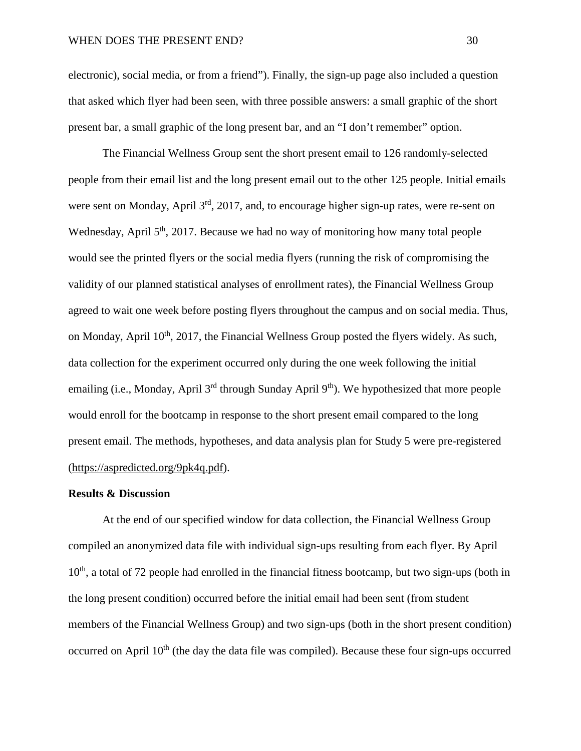electronic), social media, or from a friend"). Finally, the sign-up page also included a question that asked which flyer had been seen, with three possible answers: a small graphic of the short present bar, a small graphic of the long present bar, and an "I don't remember" option.

The Financial Wellness Group sent the short present email to 126 randomly-selected people from their email list and the long present email out to the other 125 people. Initial emails were sent on Monday, April 3<sup>rd</sup>, 2017, and, to encourage higher sign-up rates, were re-sent on Wednesday, April 5<sup>th</sup>, 2017. Because we had no way of monitoring how many total people would see the printed flyers or the social media flyers (running the risk of compromising the validity of our planned statistical analyses of enrollment rates), the Financial Wellness Group agreed to wait one week before posting flyers throughout the campus and on social media. Thus, on Monday, April  $10<sup>th</sup>$ , 2017, the Financial Wellness Group posted the flyers widely. As such, data collection for the experiment occurred only during the one week following the initial emailing (i.e., Monday, April 3<sup>rd</sup> through Sunday April 9<sup>th</sup>). We hypothesized that more people would enroll for the bootcamp in response to the short present email compared to the long present email. The methods, hypotheses, and data analysis plan for Study 5 were pre-registered [\(https://aspredicted.org/9pk4q.pdf\)](https://aspredicted.org/9pk4q.pdf).

## **Results & Discussion**

At the end of our specified window for data collection, the Financial Wellness Group compiled an anonymized data file with individual sign-ups resulting from each flyer. By April  $10<sup>th</sup>$ , a total of 72 people had enrolled in the financial fitness bootcamp, but two sign-ups (both in the long present condition) occurred before the initial email had been sent (from student members of the Financial Wellness Group) and two sign-ups (both in the short present condition) occurred on April  $10<sup>th</sup>$  (the day the data file was compiled). Because these four sign-ups occurred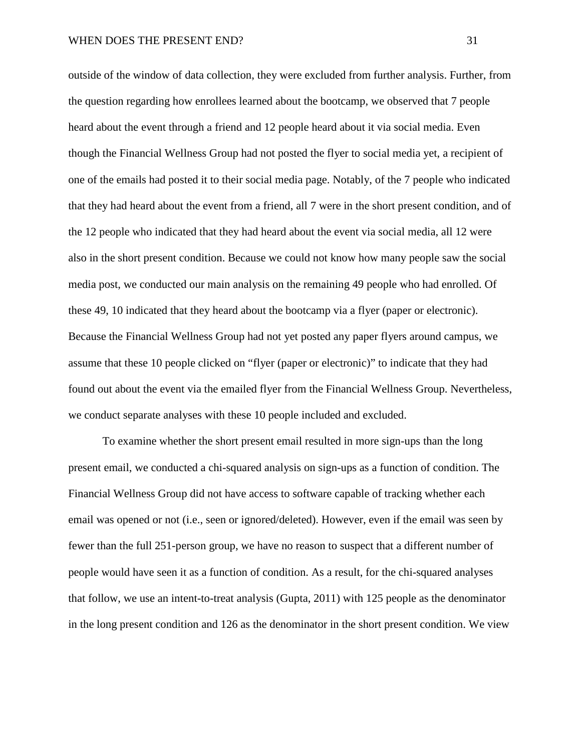outside of the window of data collection, they were excluded from further analysis. Further, from the question regarding how enrollees learned about the bootcamp, we observed that 7 people heard about the event through a friend and 12 people heard about it via social media. Even though the Financial Wellness Group had not posted the flyer to social media yet, a recipient of one of the emails had posted it to their social media page. Notably, of the 7 people who indicated that they had heard about the event from a friend, all 7 were in the short present condition, and of the 12 people who indicated that they had heard about the event via social media, all 12 were also in the short present condition. Because we could not know how many people saw the social media post, we conducted our main analysis on the remaining 49 people who had enrolled. Of these 49, 10 indicated that they heard about the bootcamp via a flyer (paper or electronic). Because the Financial Wellness Group had not yet posted any paper flyers around campus, we assume that these 10 people clicked on "flyer (paper or electronic)" to indicate that they had found out about the event via the emailed flyer from the Financial Wellness Group. Nevertheless, we conduct separate analyses with these 10 people included and excluded.

To examine whether the short present email resulted in more sign-ups than the long present email, we conducted a chi-squared analysis on sign-ups as a function of condition. The Financial Wellness Group did not have access to software capable of tracking whether each email was opened or not (i.e., seen or ignored/deleted). However, even if the email was seen by fewer than the full 251-person group, we have no reason to suspect that a different number of people would have seen it as a function of condition. As a result, for the chi-squared analyses that follow, we use an intent-to-treat analysis (Gupta, 2011) with 125 people as the denominator in the long present condition and 126 as the denominator in the short present condition. We view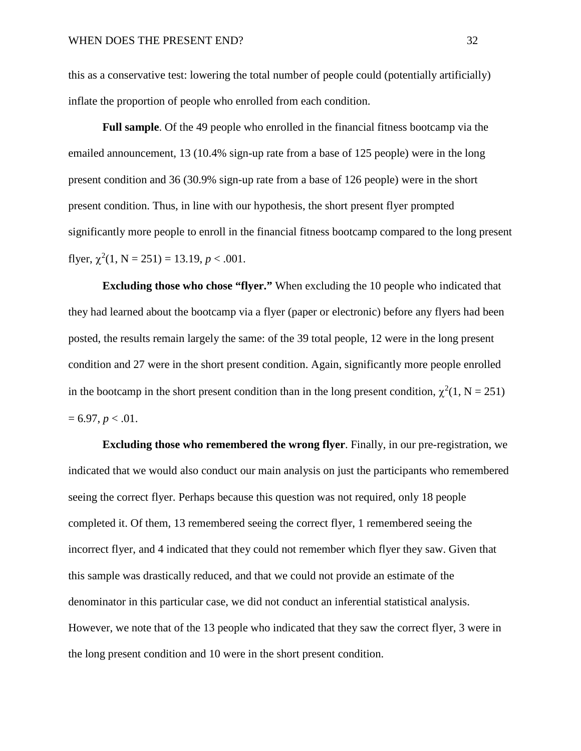this as a conservative test: lowering the total number of people could (potentially artificially) inflate the proportion of people who enrolled from each condition.

**Full sample**. Of the 49 people who enrolled in the financial fitness bootcamp via the emailed announcement, 13 (10.4% sign-up rate from a base of 125 people) were in the long present condition and 36 (30.9% sign-up rate from a base of 126 people) were in the short present condition. Thus, in line with our hypothesis, the short present flyer prompted significantly more people to enroll in the financial fitness bootcamp compared to the long present flyer,  $\chi^2(1, N = 251) = 13.19, p < .001$ .

**Excluding those who chose "flyer."** When excluding the 10 people who indicated that they had learned about the bootcamp via a flyer (paper or electronic) before any flyers had been posted, the results remain largely the same: of the 39 total people, 12 were in the long present condition and 27 were in the short present condition. Again, significantly more people enrolled in the bootcamp in the short present condition than in the long present condition,  $\chi^2(1, N = 251)$  $= 6.97, p < .01.$ 

**Excluding those who remembered the wrong flyer**. Finally, in our pre-registration, we indicated that we would also conduct our main analysis on just the participants who remembered seeing the correct flyer. Perhaps because this question was not required, only 18 people completed it. Of them, 13 remembered seeing the correct flyer, 1 remembered seeing the incorrect flyer, and 4 indicated that they could not remember which flyer they saw. Given that this sample was drastically reduced, and that we could not provide an estimate of the denominator in this particular case, we did not conduct an inferential statistical analysis. However, we note that of the 13 people who indicated that they saw the correct flyer, 3 were in the long present condition and 10 were in the short present condition.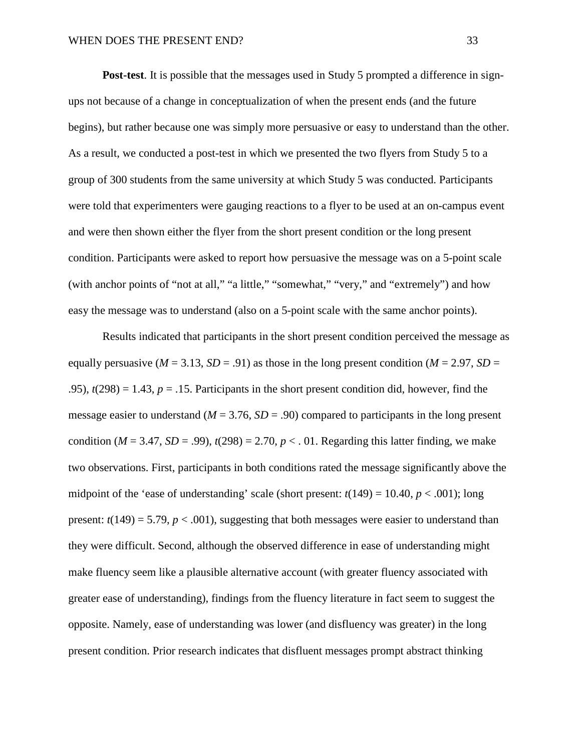**Post-test**. It is possible that the messages used in Study 5 prompted a difference in signups not because of a change in conceptualization of when the present ends (and the future begins), but rather because one was simply more persuasive or easy to understand than the other. As a result, we conducted a post-test in which we presented the two flyers from Study 5 to a group of 300 students from the same university at which Study 5 was conducted. Participants were told that experimenters were gauging reactions to a flyer to be used at an on-campus event and were then shown either the flyer from the short present condition or the long present condition. Participants were asked to report how persuasive the message was on a 5-point scale (with anchor points of "not at all," "a little," "somewhat," "very," and "extremely") and how easy the message was to understand (also on a 5-point scale with the same anchor points).

Results indicated that participants in the short present condition perceived the message as equally persuasive ( $M = 3.13$ ,  $SD = .91$ ) as those in the long present condition ( $M = 2.97$ ,  $SD =$ .95),  $t(298) = 1.43$ ,  $p = .15$ . Participants in the short present condition did, however, find the message easier to understand  $(M = 3.76, SD = .90)$  compared to participants in the long present condition ( $M = 3.47$ ,  $SD = .99$ ),  $t(298) = 2.70$ ,  $p < .01$ . Regarding this latter finding, we make two observations. First, participants in both conditions rated the message significantly above the midpoint of the 'ease of understanding' scale (short present:  $t(149) = 10.40$ ,  $p < .001$ ); long present:  $t(149) = 5.79$ ,  $p < .001$ ), suggesting that both messages were easier to understand than they were difficult. Second, although the observed difference in ease of understanding might make fluency seem like a plausible alternative account (with greater fluency associated with greater ease of understanding), findings from the fluency literature in fact seem to suggest the opposite. Namely, ease of understanding was lower (and disfluency was greater) in the long present condition. Prior research indicates that disfluent messages prompt abstract thinking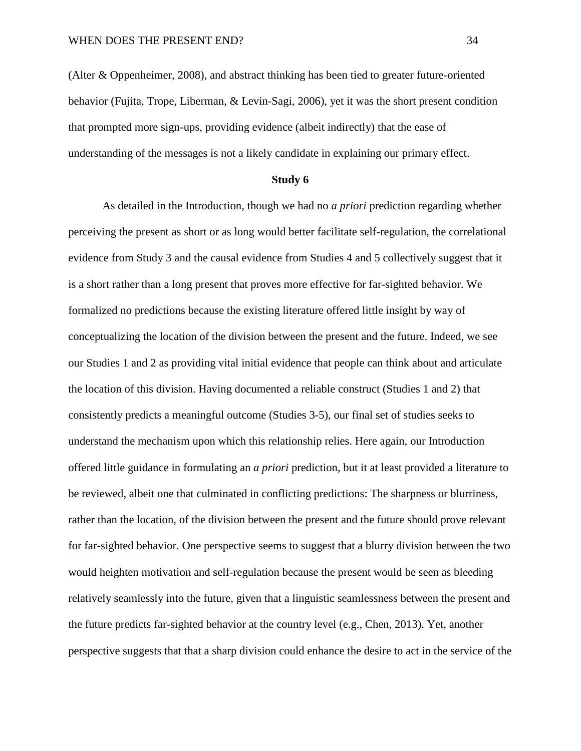(Alter & Oppenheimer, 2008), and abstract thinking has been tied to greater future-oriented behavior (Fujita, Trope, Liberman, & Levin-Sagi, 2006), yet it was the short present condition that prompted more sign-ups, providing evidence (albeit indirectly) that the ease of understanding of the messages is not a likely candidate in explaining our primary effect.

## **Study 6**

As detailed in the Introduction, though we had no *a priori* prediction regarding whether perceiving the present as short or as long would better facilitate self-regulation, the correlational evidence from Study 3 and the causal evidence from Studies 4 and 5 collectively suggest that it is a short rather than a long present that proves more effective for far-sighted behavior. We formalized no predictions because the existing literature offered little insight by way of conceptualizing the location of the division between the present and the future. Indeed, we see our Studies 1 and 2 as providing vital initial evidence that people can think about and articulate the location of this division. Having documented a reliable construct (Studies 1 and 2) that consistently predicts a meaningful outcome (Studies 3-5), our final set of studies seeks to understand the mechanism upon which this relationship relies. Here again, our Introduction offered little guidance in formulating an *a priori* prediction, but it at least provided a literature to be reviewed, albeit one that culminated in conflicting predictions: The sharpness or blurriness, rather than the location, of the division between the present and the future should prove relevant for far-sighted behavior. One perspective seems to suggest that a blurry division between the two would heighten motivation and self-regulation because the present would be seen as bleeding relatively seamlessly into the future, given that a linguistic seamlessness between the present and the future predicts far-sighted behavior at the country level (e.g., Chen, 2013). Yet, another perspective suggests that that a sharp division could enhance the desire to act in the service of the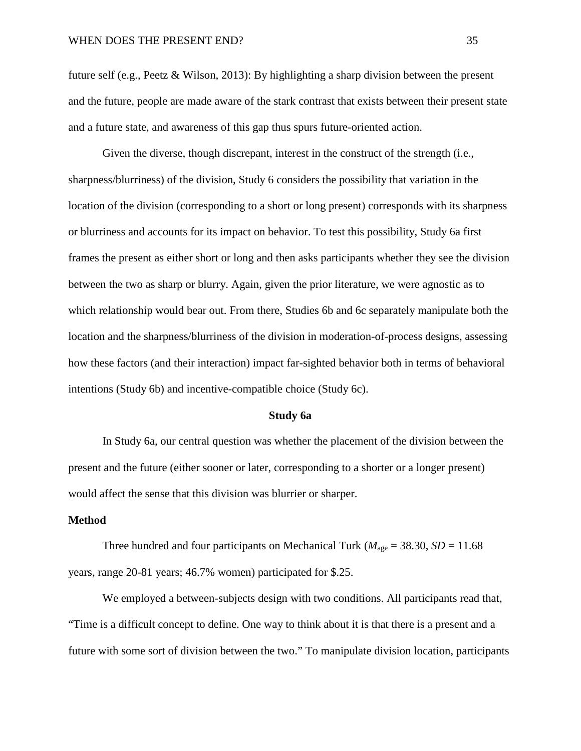future self (e.g., Peetz & Wilson, 2013): By highlighting a sharp division between the present and the future, people are made aware of the stark contrast that exists between their present state and a future state, and awareness of this gap thus spurs future-oriented action.

Given the diverse, though discrepant, interest in the construct of the strength (i.e., sharpness/blurriness) of the division, Study 6 considers the possibility that variation in the location of the division (corresponding to a short or long present) corresponds with its sharpness or blurriness and accounts for its impact on behavior. To test this possibility, Study 6a first frames the present as either short or long and then asks participants whether they see the division between the two as sharp or blurry. Again, given the prior literature, we were agnostic as to which relationship would bear out. From there, Studies 6b and 6c separately manipulate both the location and the sharpness/blurriness of the division in moderation-of-process designs, assessing how these factors (and their interaction) impact far-sighted behavior both in terms of behavioral intentions (Study 6b) and incentive-compatible choice (Study 6c).

#### **Study 6a**

In Study 6a, our central question was whether the placement of the division between the present and the future (either sooner or later, corresponding to a shorter or a longer present) would affect the sense that this division was blurrier or sharper.

## **Method**

Three hundred and four participants on Mechanical Turk ( $M_{\text{age}} = 38.30$ , *SD* = 11.68 years, range 20-81 years; 46.7% women) participated for \$.25.

We employed a between-subjects design with two conditions. All participants read that, "Time is a difficult concept to define. One way to think about it is that there is a present and a future with some sort of division between the two." To manipulate division location, participants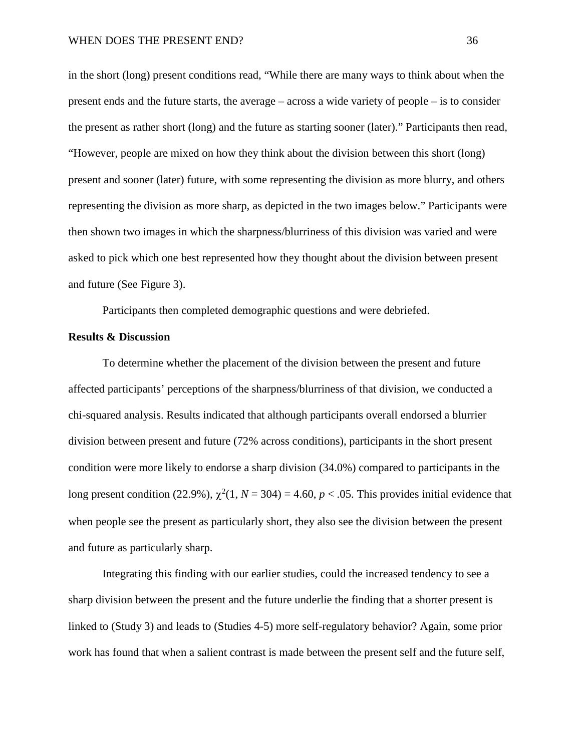in the short (long) present conditions read, "While there are many ways to think about when the present ends and the future starts, the average – across a wide variety of people – is to consider the present as rather short (long) and the future as starting sooner (later)." Participants then read, "However, people are mixed on how they think about the division between this short (long) present and sooner (later) future, with some representing the division as more blurry, and others representing the division as more sharp, as depicted in the two images below." Participants were then shown two images in which the sharpness/blurriness of this division was varied and were asked to pick which one best represented how they thought about the division between present and future (See Figure 3).

Participants then completed demographic questions and were debriefed.

## **Results & Discussion**

To determine whether the placement of the division between the present and future affected participants' perceptions of the sharpness/blurriness of that division, we conducted a chi-squared analysis. Results indicated that although participants overall endorsed a blurrier division between present and future (72% across conditions), participants in the short present condition were more likely to endorse a sharp division (34.0%) compared to participants in the long present condition (22.9%),  $\chi^2(1, N = 304) = 4.60$ ,  $p < .05$ . This provides initial evidence that when people see the present as particularly short, they also see the division between the present and future as particularly sharp.

Integrating this finding with our earlier studies, could the increased tendency to see a sharp division between the present and the future underlie the finding that a shorter present is linked to (Study 3) and leads to (Studies 4-5) more self-regulatory behavior? Again, some prior work has found that when a salient contrast is made between the present self and the future self,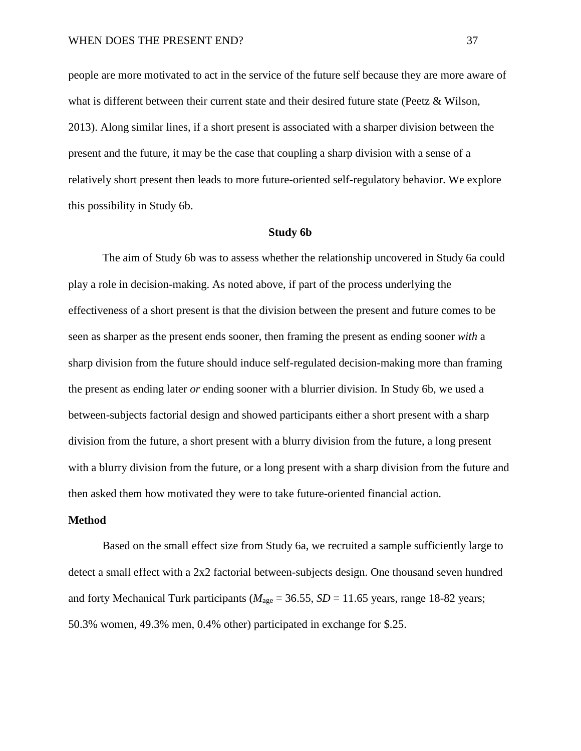people are more motivated to act in the service of the future self because they are more aware of what is different between their current state and their desired future state (Peetz & Wilson, 2013). Along similar lines, if a short present is associated with a sharper division between the present and the future, it may be the case that coupling a sharp division with a sense of a relatively short present then leads to more future-oriented self-regulatory behavior. We explore this possibility in Study 6b.

#### **Study 6b**

The aim of Study 6b was to assess whether the relationship uncovered in Study 6a could play a role in decision-making. As noted above, if part of the process underlying the effectiveness of a short present is that the division between the present and future comes to be seen as sharper as the present ends sooner, then framing the present as ending sooner *with* a sharp division from the future should induce self-regulated decision-making more than framing the present as ending later *or* ending sooner with a blurrier division. In Study 6b, we used a between-subjects factorial design and showed participants either a short present with a sharp division from the future, a short present with a blurry division from the future, a long present with a blurry division from the future, or a long present with a sharp division from the future and then asked them how motivated they were to take future-oriented financial action.

## **Method**

Based on the small effect size from Study 6a, we recruited a sample sufficiently large to detect a small effect with a 2x2 factorial between-subjects design. One thousand seven hundred and forty Mechanical Turk participants ( $M_{\text{age}} = 36.55$ ,  $SD = 11.65$  years, range 18-82 years; 50.3% women, 49.3% men, 0.4% other) participated in exchange for \$.25.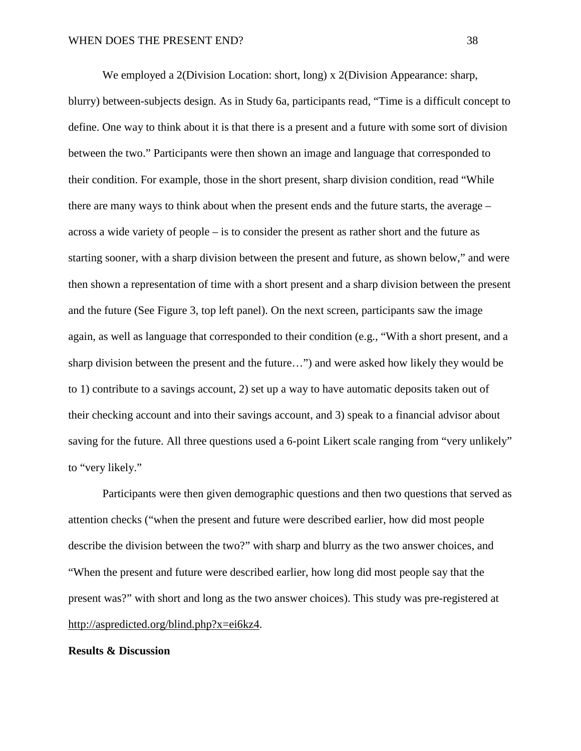We employed a 2(Division Location: short, long) x 2(Division Appearance: sharp, blurry) between-subjects design. As in Study 6a, participants read, "Time is a difficult concept to define. One way to think about it is that there is a present and a future with some sort of division between the two." Participants were then shown an image and language that corresponded to their condition. For example, those in the short present, sharp division condition, read "While there are many ways to think about when the present ends and the future starts, the average – across a wide variety of people – is to consider the present as rather short and the future as starting sooner, with a sharp division between the present and future, as shown below," and were then shown a representation of time with a short present and a sharp division between the present and the future (See Figure 3, top left panel). On the next screen, participants saw the image again, as well as language that corresponded to their condition (e.g., "With a short present, and a sharp division between the present and the future…") and were asked how likely they would be to 1) contribute to a savings account, 2) set up a way to have automatic deposits taken out of their checking account and into their savings account, and 3) speak to a financial advisor about saving for the future. All three questions used a 6-point Likert scale ranging from "very unlikely" to "very likely."

Participants were then given demographic questions and then two questions that served as attention checks ("when the present and future were described earlier, how did most people describe the division between the two?" with sharp and blurry as the two answer choices, and "When the present and future were described earlier, how long did most people say that the present was?" with short and long as the two answer choices). This study was pre-registered at [http://aspredicted.org/blind.php?x=ei6kz4.](http://aspredicted.org/blind.php?x=ei6kz4)

#### **Results & Discussion**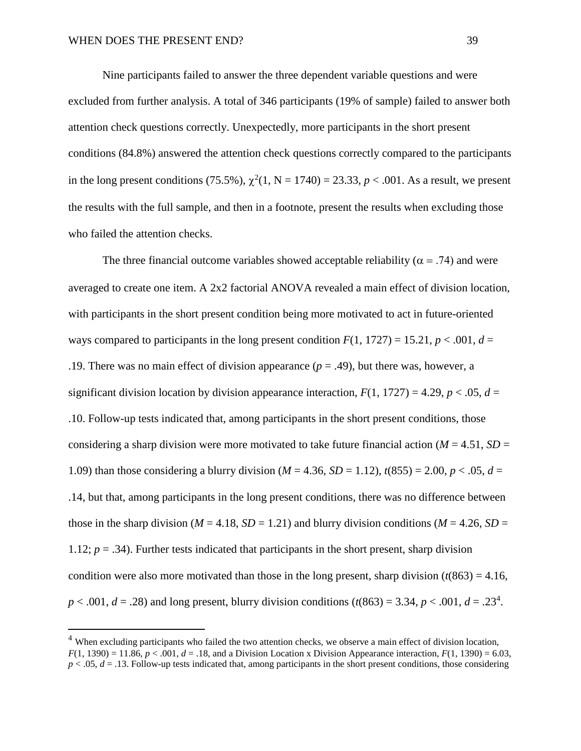Nine participants failed to answer the three dependent variable questions and were excluded from further analysis. A total of 346 participants (19% of sample) failed to answer both attention check questions correctly. Unexpectedly, more participants in the short present conditions (84.8%) answered the attention check questions correctly compared to the participants in the long present conditions (75.5%),  $\chi^2(1, N = 1740) = 23.33, p < .001$ . As a result, we present the results with the full sample, and then in a footnote, present the results when excluding those who failed the attention checks.

The three financial outcome variables showed acceptable reliability ( $\alpha$  = .74) and were averaged to create one item. A 2x2 factorial ANOVA revealed a main effect of division location, with participants in the short present condition being more motivated to act in future-oriented ways compared to participants in the long present condition  $F(1, 1727) = 15.21$ ,  $p < .001$ ,  $d =$ .19. There was no main effect of division appearance  $(p = .49)$ , but there was, however, a significant division location by division appearance interaction,  $F(1, 1727) = 4.29$ ,  $p < .05$ ,  $d =$ .10. Follow-up tests indicated that, among participants in the short present conditions, those considering a sharp division were more motivated to take future financial action ( $M = 4.51$ ,  $SD =$ 1.09) than those considering a blurry division ( $M = 4.36$ ,  $SD = 1.12$ ),  $t(855) = 2.00$ ,  $p < .05$ ,  $d =$ .14, but that, among participants in the long present conditions, there was no difference between those in the sharp division ( $M = 4.18$ ,  $SD = 1.21$ ) and blurry division conditions ( $M = 4.26$ ,  $SD = 1.21$ ) 1.12;  $p = 0.34$ ). Further tests indicated that participants in the short present, sharp division condition were also more motivated than those in the long present, sharp division  $(t(863) = 4.16$ ,  $p < .001, d = .28$ ) and long present, blurry division conditions ( $t(863) = 3.34, p < .001, d = .23<sup>4</sup>$ ).

<sup>&</sup>lt;sup>4</sup> When excluding participants who failed the two attention checks, we observe a main effect of division location,  $F(1, 1390) = 11.86$ ,  $p < .001$ ,  $d = .18$ , and a Division Location x Division Appearance interaction,  $F(1, 1390) = 6.03$ ,  $p < .05$ ,  $d = .13$ . Follow-up tests indicated that, among participants in the short present conditions, those considering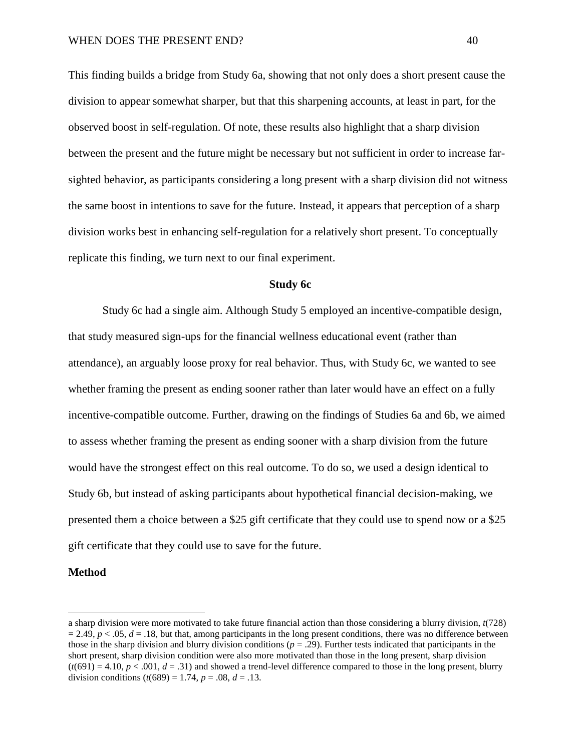This finding builds a bridge from Study 6a, showing that not only does a short present cause the division to appear somewhat sharper, but that this sharpening accounts, at least in part, for the observed boost in self-regulation. Of note, these results also highlight that a sharp division between the present and the future might be necessary but not sufficient in order to increase farsighted behavior, as participants considering a long present with a sharp division did not witness the same boost in intentions to save for the future. Instead, it appears that perception of a sharp division works best in enhancing self-regulation for a relatively short present. To conceptually replicate this finding, we turn next to our final experiment.

## **Study 6c**

Study 6c had a single aim. Although Study 5 employed an incentive-compatible design, that study measured sign-ups for the financial wellness educational event (rather than attendance), an arguably loose proxy for real behavior. Thus, with Study 6c, we wanted to see whether framing the present as ending sooner rather than later would have an effect on a fully incentive-compatible outcome. Further, drawing on the findings of Studies 6a and 6b, we aimed to assess whether framing the present as ending sooner with a sharp division from the future would have the strongest effect on this real outcome. To do so, we used a design identical to Study 6b, but instead of asking participants about hypothetical financial decision-making, we presented them a choice between a \$25 gift certificate that they could use to spend now or a \$25 gift certificate that they could use to save for the future.

### **Method**

 $\overline{a}$ 

a sharp division were more motivated to take future financial action than those considering a blurry division, *t*(728)  $= 2.49$ ,  $p < .05$ ,  $d = .18$ , but that, among participants in the long present conditions, there was no difference between those in the sharp division and blurry division conditions (*p* = .29). Further tests indicated that participants in the short present, sharp division condition were also more motivated than those in the long present, sharp division  $(t(691) = 4.10, p < .001, d = .31)$  and showed a trend-level difference compared to those in the long present, blurry division conditions  $(t(689) = 1.74, p = .08, d = .13$ .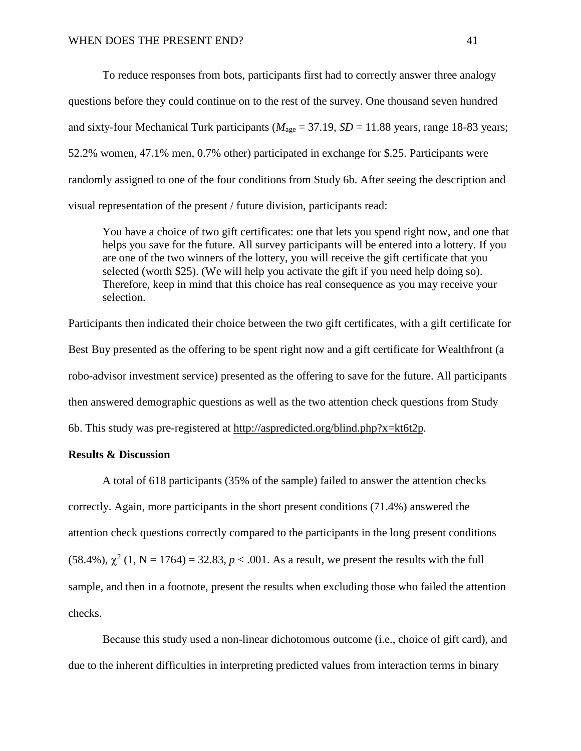To reduce responses from bots, participants first had to correctly answer three analogy questions before they could continue on to the rest of the survey. One thousand seven hundred and sixty-four Mechanical Turk participants ( $M_{\text{age}} = 37.19$ ,  $SD = 11.88$  years, range 18-83 years; 52.2% women, 47.1% men, 0.7% other) participated in exchange for \$.25. Participants were randomly assigned to one of the four conditions from Study 6b. After seeing the description and visual representation of the present / future division, participants read:

You have a choice of two gift certificates: one that lets you spend right now, and one that helps you save for the future. All survey participants will be entered into a lottery. If you are one of the two winners of the lottery, you will receive the gift certificate that you selected (worth \$25). (We will help you activate the gift if you need help doing so). Therefore, keep in mind that this choice has real consequence as you may receive your selection.

Participants then indicated their choice between the two gift certificates, with a gift certificate for Best Buy presented as the offering to be spent right now and a gift certificate for Wealthfront (a robo-advisor investment service) presented as the offering to save for the future. All participants then answered demographic questions as well as the two attention check questions from Study 6b. This study was pre-registered at [http://aspredicted.org/blind.php?x=kt6t2p.](http://aspredicted.org/blind.php?x=kt6t2p)

## **Results & Discussion**

A total of 618 participants (35% of the sample) failed to answer the attention checks correctly. Again, more participants in the short present conditions (71.4%) answered the attention check questions correctly compared to the participants in the long present conditions (58.4%),  $\gamma^2$  (1, N = 1764) = 32.83, *p* < .001. As a result, we present the results with the full sample, and then in a footnote, present the results when excluding those who failed the attention checks.

Because this study used a non-linear dichotomous outcome (i.e., choice of gift card), and due to the inherent difficulties in interpreting predicted values from interaction terms in binary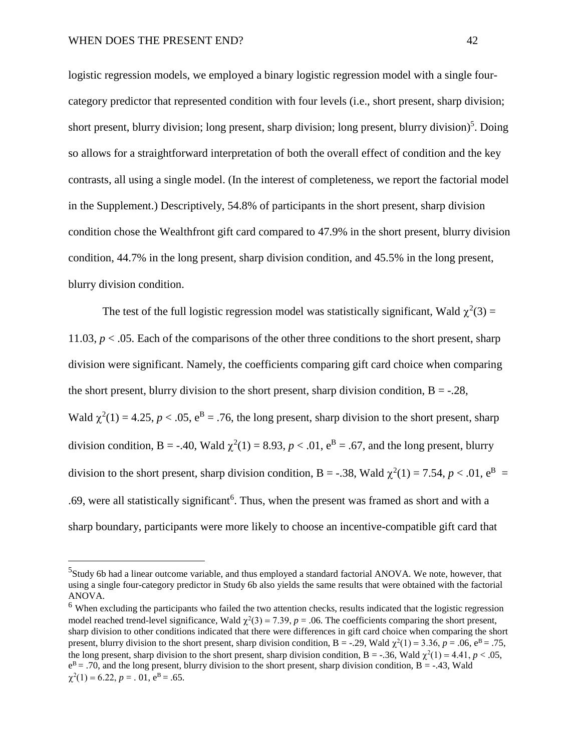logistic regression models, we employed a binary logistic regression model with a single fourcategory predictor that represented condition with four levels (i.e., short present, sharp division; short present, blurry division; long present, sharp division; long present, blurry division)<sup>5</sup>. Doing so allows for a straightforward interpretation of both the overall effect of condition and the key contrasts, all using a single model. (In the interest of completeness, we report the factorial model in the Supplement.) Descriptively, 54.8% of participants in the short present, sharp division condition chose the Wealthfront gift card compared to 47.9% in the short present, blurry division condition, 44.7% in the long present, sharp division condition, and 45.5% in the long present, blurry division condition.

The test of the full logistic regression model was statistically significant, Wald  $\chi^2(3)$  = 11.03, *p* < .05. Each of the comparisons of the other three conditions to the short present, sharp division were significant. Namely, the coefficients comparing gift card choice when comparing the short present, blurry division to the short present, sharp division condition,  $B = -.28$ , Wald  $\chi^2(1) = 4.25$ ,  $p < .05$ ,  $e^B = .76$ , the long present, sharp division to the short present, sharp division condition, B = -.40, Wald  $\chi^2(1) = 8.93$ ,  $p < .01$ ,  $e^B = .67$ , and the long present, blurry division to the short present, sharp division condition, B = -.38, Wald  $\chi^2(1) = 7.54$ ,  $p < .01$ ,  $e^B =$ .69, were all statistically significant<sup>6</sup>. Thus, when the present was framed as short and with a sharp boundary, participants were more likely to choose an incentive-compatible gift card that

 <sup>5</sup> <sup>5</sup>Study 6b had a linear outcome variable, and thus employed a standard factorial ANOVA. We note, however, that using a single four-category predictor in Study 6b also yields the same results that were obtained with the factorial ANOVA.

<sup>&</sup>lt;sup>6</sup> When excluding the participants who failed the two attention checks, results indicated that the logistic regression model reached trend-level significance, Wald  $\chi^2(3) = 7.39$ ,  $p = .06$ . The coefficients comparing the short present, sharp division to other conditions indicated that there were differences in gift card choice when comparing the short present, blurry division to the short present, sharp division condition, B = -.29, Wald  $\chi^2(1)$  = 3.36, p = .06, e<sup>B</sup> = .75, the long present, sharp division to the short present, sharp division condition,  $B = -.36$ , Wald  $\chi^2(1) = 4.41$ ,  $p < .05$ ,  $e^{B} = .70$ , and the long present, blurry division to the short present, sharp division condition, B = -.43, Wald  $\chi^2(1) = 6.22, p = .01, e^{B} = .65.$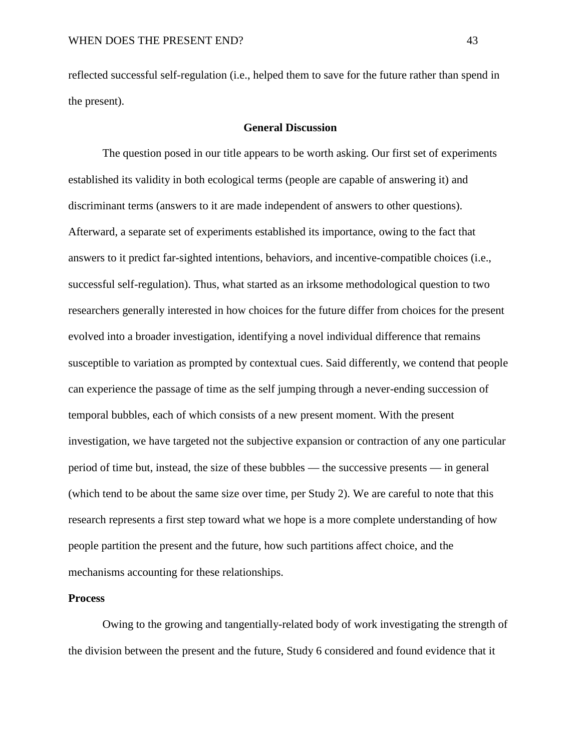reflected successful self-regulation (i.e., helped them to save for the future rather than spend in the present).

## **General Discussion**

The question posed in our title appears to be worth asking. Our first set of experiments established its validity in both ecological terms (people are capable of answering it) and discriminant terms (answers to it are made independent of answers to other questions). Afterward, a separate set of experiments established its importance, owing to the fact that answers to it predict far-sighted intentions, behaviors, and incentive-compatible choices (i.e., successful self-regulation). Thus, what started as an irksome methodological question to two researchers generally interested in how choices for the future differ from choices for the present evolved into a broader investigation, identifying a novel individual difference that remains susceptible to variation as prompted by contextual cues. Said differently, we contend that people can experience the passage of time as the self jumping through a never-ending succession of temporal bubbles, each of which consists of a new present moment. With the present investigation, we have targeted not the subjective expansion or contraction of any one particular period of time but, instead, the size of these bubbles — the successive presents — in general (which tend to be about the same size over time, per Study 2). We are careful to note that this research represents a first step toward what we hope is a more complete understanding of how people partition the present and the future, how such partitions affect choice, and the mechanisms accounting for these relationships.

## **Process**

Owing to the growing and tangentially-related body of work investigating the strength of the division between the present and the future, Study 6 considered and found evidence that it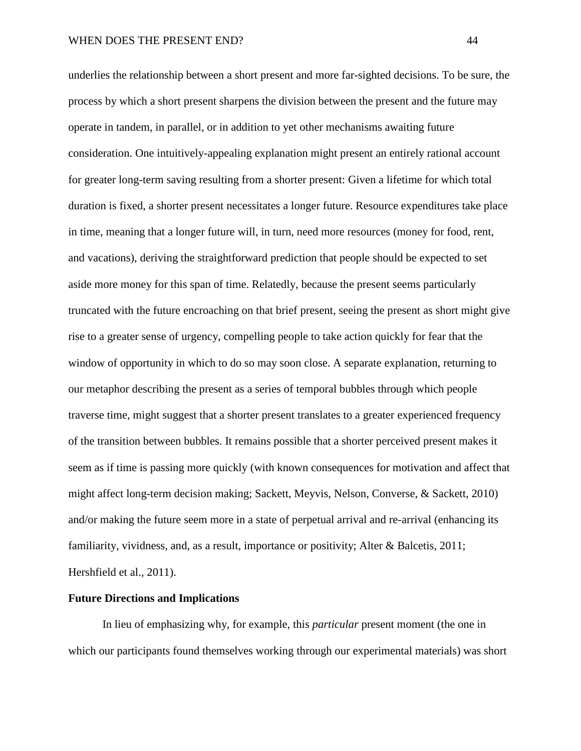underlies the relationship between a short present and more far-sighted decisions. To be sure, the process by which a short present sharpens the division between the present and the future may operate in tandem, in parallel, or in addition to yet other mechanisms awaiting future consideration. One intuitively-appealing explanation might present an entirely rational account for greater long-term saving resulting from a shorter present: Given a lifetime for which total duration is fixed, a shorter present necessitates a longer future. Resource expenditures take place in time, meaning that a longer future will, in turn, need more resources (money for food, rent, and vacations), deriving the straightforward prediction that people should be expected to set aside more money for this span of time. Relatedly, because the present seems particularly truncated with the future encroaching on that brief present, seeing the present as short might give rise to a greater sense of urgency, compelling people to take action quickly for fear that the window of opportunity in which to do so may soon close. A separate explanation, returning to our metaphor describing the present as a series of temporal bubbles through which people traverse time, might suggest that a shorter present translates to a greater experienced frequency of the transition between bubbles. It remains possible that a shorter perceived present makes it seem as if time is passing more quickly (with known consequences for motivation and affect that might affect long-term decision making; Sackett, Meyvis, Nelson, Converse, & Sackett, 2010) and/or making the future seem more in a state of perpetual arrival and re-arrival (enhancing its familiarity, vividness, and, as a result, importance or positivity; Alter & Balcetis, 2011; Hershfield et al., 2011).

## **Future Directions and Implications**

In lieu of emphasizing why, for example, this *particular* present moment (the one in which our participants found themselves working through our experimental materials) was short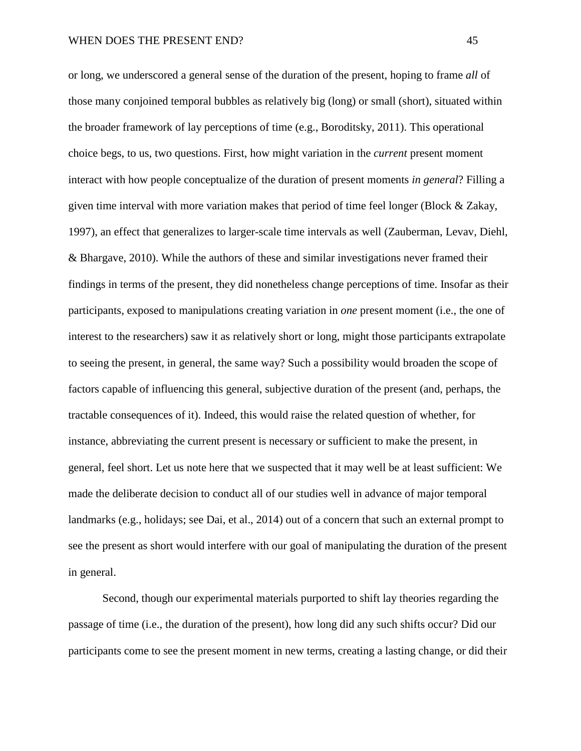or long, we underscored a general sense of the duration of the present, hoping to frame *all* of those many conjoined temporal bubbles as relatively big (long) or small (short), situated within the broader framework of lay perceptions of time (e.g., Boroditsky, 2011). This operational choice begs, to us, two questions. First, how might variation in the *current* present moment interact with how people conceptualize of the duration of present moments *in general*? Filling a given time interval with more variation makes that period of time feel longer (Block & Zakay, 1997), an effect that generalizes to larger-scale time intervals as well (Zauberman, Levav, Diehl, & Bhargave, 2010). While the authors of these and similar investigations never framed their findings in terms of the present, they did nonetheless change perceptions of time. Insofar as their participants, exposed to manipulations creating variation in *one* present moment (i.e., the one of interest to the researchers) saw it as relatively short or long, might those participants extrapolate to seeing the present, in general, the same way? Such a possibility would broaden the scope of factors capable of influencing this general, subjective duration of the present (and, perhaps, the tractable consequences of it). Indeed, this would raise the related question of whether, for instance, abbreviating the current present is necessary or sufficient to make the present, in general, feel short. Let us note here that we suspected that it may well be at least sufficient: We made the deliberate decision to conduct all of our studies well in advance of major temporal landmarks (e.g., holidays; see Dai, et al., 2014) out of a concern that such an external prompt to see the present as short would interfere with our goal of manipulating the duration of the present in general.

Second, though our experimental materials purported to shift lay theories regarding the passage of time (i.e., the duration of the present), how long did any such shifts occur? Did our participants come to see the present moment in new terms, creating a lasting change, or did their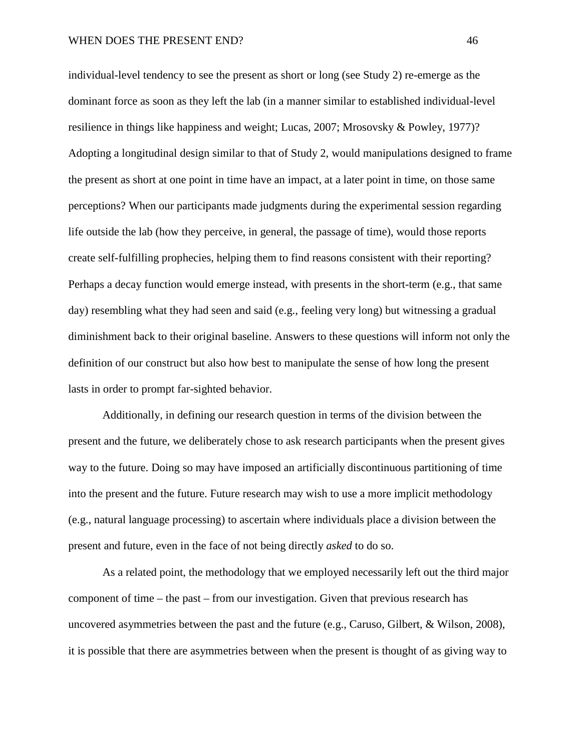individual-level tendency to see the present as short or long (see Study 2) re-emerge as the dominant force as soon as they left the lab (in a manner similar to established individual-level resilience in things like happiness and weight; Lucas, 2007; Mrosovsky & Powley, 1977)? Adopting a longitudinal design similar to that of Study 2, would manipulations designed to frame the present as short at one point in time have an impact, at a later point in time, on those same perceptions? When our participants made judgments during the experimental session regarding life outside the lab (how they perceive, in general, the passage of time), would those reports create self-fulfilling prophecies, helping them to find reasons consistent with their reporting? Perhaps a decay function would emerge instead, with presents in the short-term (e.g., that same day) resembling what they had seen and said (e.g., feeling very long) but witnessing a gradual diminishment back to their original baseline. Answers to these questions will inform not only the definition of our construct but also how best to manipulate the sense of how long the present lasts in order to prompt far-sighted behavior.

Additionally, in defining our research question in terms of the division between the present and the future, we deliberately chose to ask research participants when the present gives way to the future. Doing so may have imposed an artificially discontinuous partitioning of time into the present and the future. Future research may wish to use a more implicit methodology (e.g., natural language processing) to ascertain where individuals place a division between the present and future, even in the face of not being directly *asked* to do so.

As a related point, the methodology that we employed necessarily left out the third major component of time – the past – from our investigation. Given that previous research has uncovered asymmetries between the past and the future (e.g., Caruso, Gilbert, & Wilson, 2008), it is possible that there are asymmetries between when the present is thought of as giving way to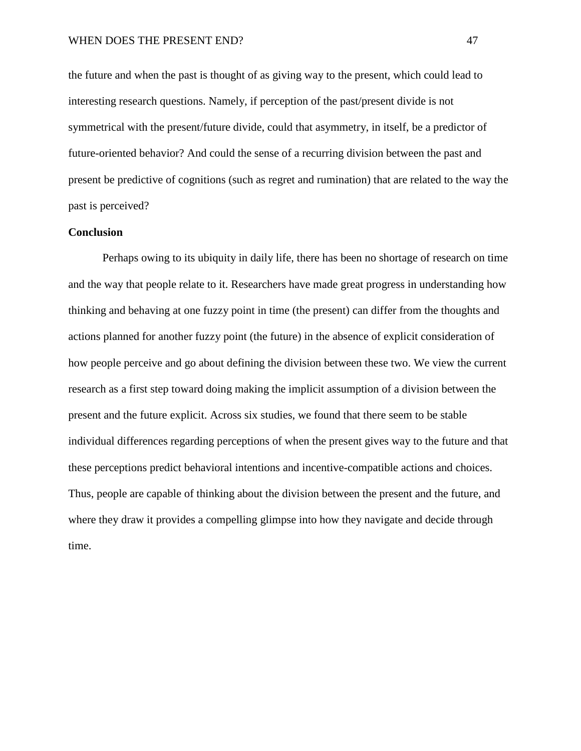the future and when the past is thought of as giving way to the present, which could lead to interesting research questions. Namely, if perception of the past/present divide is not symmetrical with the present/future divide, could that asymmetry, in itself, be a predictor of future-oriented behavior? And could the sense of a recurring division between the past and present be predictive of cognitions (such as regret and rumination) that are related to the way the past is perceived?

## **Conclusion**

Perhaps owing to its ubiquity in daily life, there has been no shortage of research on time and the way that people relate to it. Researchers have made great progress in understanding how thinking and behaving at one fuzzy point in time (the present) can differ from the thoughts and actions planned for another fuzzy point (the future) in the absence of explicit consideration of how people perceive and go about defining the division between these two. We view the current research as a first step toward doing making the implicit assumption of a division between the present and the future explicit. Across six studies, we found that there seem to be stable individual differences regarding perceptions of when the present gives way to the future and that these perceptions predict behavioral intentions and incentive-compatible actions and choices. Thus, people are capable of thinking about the division between the present and the future, and where they draw it provides a compelling glimpse into how they navigate and decide through time.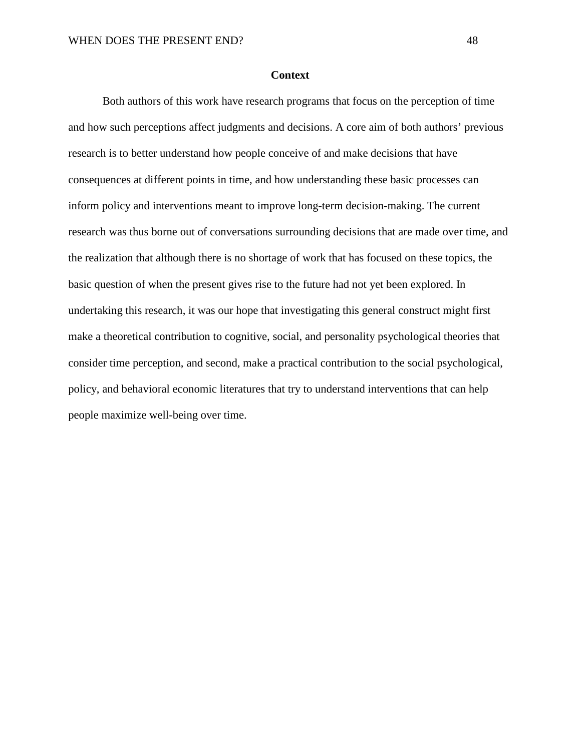#### **Context**

Both authors of this work have research programs that focus on the perception of time and how such perceptions affect judgments and decisions. A core aim of both authors' previous research is to better understand how people conceive of and make decisions that have consequences at different points in time, and how understanding these basic processes can inform policy and interventions meant to improve long-term decision-making. The current research was thus borne out of conversations surrounding decisions that are made over time, and the realization that although there is no shortage of work that has focused on these topics, the basic question of when the present gives rise to the future had not yet been explored. In undertaking this research, it was our hope that investigating this general construct might first make a theoretical contribution to cognitive, social, and personality psychological theories that consider time perception, and second, make a practical contribution to the social psychological, policy, and behavioral economic literatures that try to understand interventions that can help people maximize well-being over time.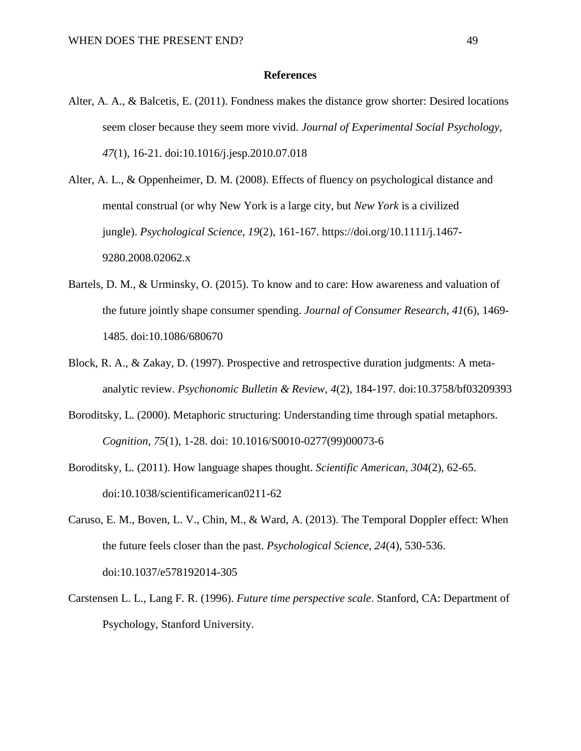#### **References**

- Alter, A. A., & Balcetis, E. (2011). Fondness makes the distance grow shorter: Desired locations seem closer because they seem more vivid. *Journal of Experimental Social Psychology*, *47*(1), 16-21. doi:10.1016/j.jesp.2010.07.018
- Alter, A. L., & Oppenheimer, D. M. (2008). Effects of fluency on psychological distance and mental construal (or why New York is a large city, but *New York* is a civilized jungle). *Psychological Science*, *19*(2), 161-167. https://doi.org/10.1111/j.1467- 9280.2008.02062.x
- Bartels, D. M., & Urminsky, O. (2015). To know and to care: How awareness and valuation of the future jointly shape consumer spending. *Journal of Consumer Research, 41*(6), 1469- 1485. doi:10.1086/680670
- Block, R. A., & Zakay, D. (1997). Prospective and retrospective duration judgments: A metaanalytic review. *Psychonomic Bulletin & Review, 4*(2), 184-197. doi:10.3758/bf03209393
- Boroditsky, L. (2000). Metaphoric structuring: Understanding time through spatial metaphors. *Cognition*, *75*(1), 1-28. doi: 10.1016/S0010-0277(99)00073-6
- Boroditsky, L. (2011). How language shapes thought. *Scientific American, 304*(2), 62-65. doi:10.1038/scientificamerican0211-62
- Caruso, E. M., Boven, L. V., Chin, M., & Ward, A. (2013). The Temporal Doppler effect: When the future feels closer than the past. *Psychological Science, 24*(4), 530-536. doi:10.1037/e578192014-305
- Carstensen L. L., Lang F. R. (1996). *Future time perspective scale*. Stanford, CA: Department of Psychology, Stanford University.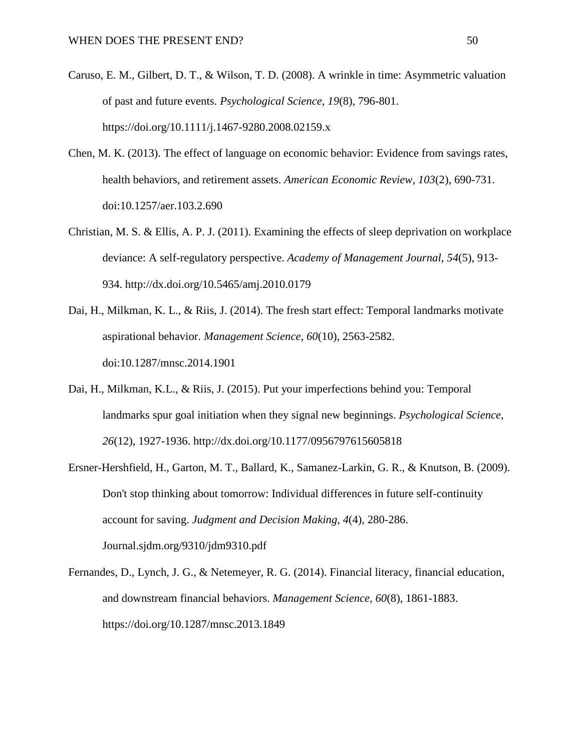- Caruso, E. M., Gilbert, D. T., & Wilson, T. D. (2008). A wrinkle in time: Asymmetric valuation of past and future events. *Psychological Science*, *19*(8), 796-801. https://doi.org/10.1111/j.1467-9280.2008.02159.x
- Chen, M. K. (2013). The effect of language on economic behavior: Evidence from savings rates, health behaviors, and retirement assets. *American Economic Review, 103*(2), 690-731. doi:10.1257/aer.103.2.690
- Christian, M. S. & Ellis, A. P. J. (2011). Examining the effects of sleep deprivation on workplace deviance: A self-regulatory perspective. *Academy of Management Journal*, *54*(5), 913- 934. http://dx.doi.org/10.5465/amj.2010.0179
- Dai, H., Milkman, K. L., & Riis, J. (2014). The fresh start effect: Temporal landmarks motivate aspirational behavior. *Management Science, 60*(10), 2563-2582. doi:10.1287/mnsc.2014.1901
- Dai, H., Milkman, K.L., & Riis, J. (2015). Put your imperfections behind you: Temporal landmarks spur goal initiation when they signal new beginnings. *Psychological Science, 26*(12), 1927-1936. http://dx.doi.org/10.1177/0956797615605818
- Ersner-Hershfield, H., Garton, M. T., Ballard, K., Samanez-Larkin, G. R., & Knutson, B. (2009). Don't stop thinking about tomorrow: Individual differences in future self-continuity account for saving. *Judgment and Decision Making, 4*(4), 280-286. Journal.sjdm.org/9310/jdm9310.pdf
- Fernandes, D., Lynch, J. G., & Netemeyer, R. G. (2014). Financial literacy, financial education, and downstream financial behaviors. *Management Science, 60*(8), 1861-1883. https://doi.org/10.1287/mnsc.2013.1849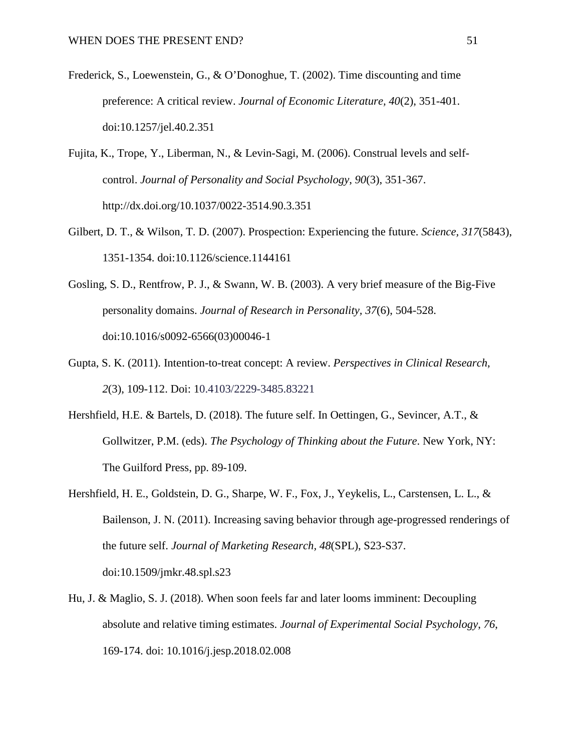- Frederick, S., Loewenstein, G., & O'Donoghue, T. (2002). Time discounting and time preference: A critical review. *Journal of Economic Literature, 40*(2), 351-401. doi:10.1257/jel.40.2.351
- Fujita, K., Trope, Y., Liberman, N., & Levin-Sagi, M. (2006). Construal levels and selfcontrol. *Journal of Personality and Social Psychology*, *90*(3), 351-367. http://dx.doi.org/10.1037/0022-3514.90.3.351
- Gilbert, D. T., & Wilson, T. D. (2007). Prospection: Experiencing the future. *Science, 317*(5843), 1351-1354. doi:10.1126/science.1144161
- Gosling, S. D., Rentfrow, P. J., & Swann, W. B. (2003). A very brief measure of the Big-Five personality domains. *Journal of Research in Personality, 37*(6), 504-528. doi:10.1016/s0092-6566(03)00046-1
- Gupta, S. K. (2011). Intention-to-treat concept: A review. *Perspectives in Clinical Research*, *2*(3), 109-112. Doi: 10.4103/2229-3485.83221
- Hershfield, H.E. & Bartels, D. (2018). The future self. In Oettingen, G., Sevincer, A.T., & Gollwitzer, P.M. (eds). *The Psychology of Thinking about the Future*. New York, NY: The Guilford Press, pp. 89-109.
- Hershfield, H. E., Goldstein, D. G., Sharpe, W. F., Fox, J., Yeykelis, L., Carstensen, L. L., & Bailenson, J. N. (2011). Increasing saving behavior through age-progressed renderings of the future self. *Journal of Marketing Research, 48*(SPL), S23-S37. doi:10.1509/jmkr.48.spl.s23
- Hu, J. & Maglio, S. J. (2018). When soon feels far and later looms imminent: Decoupling absolute and relative timing estimates. *Journal of Experimental Social Psychology*, *76*, 169-174. doi: 10.1016/j.jesp.2018.02.008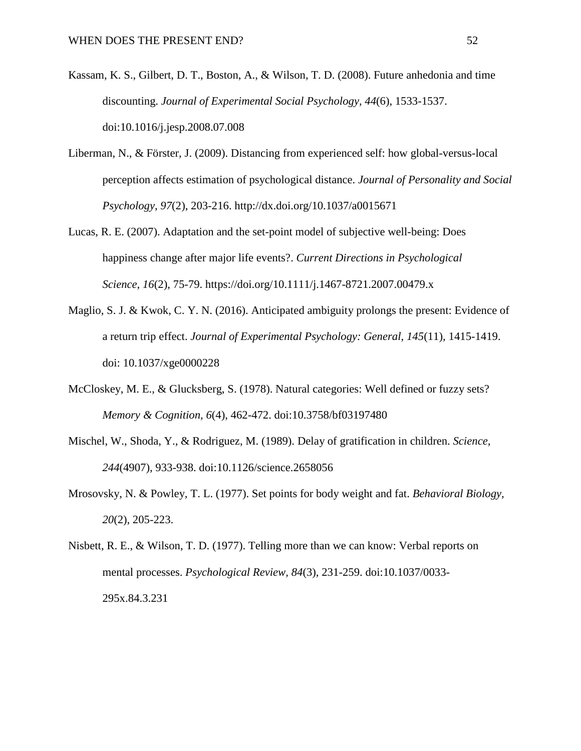- Kassam, K. S., Gilbert, D. T., Boston, A., & Wilson, T. D. (2008). Future anhedonia and time discounting. *Journal of Experimental Social Psychology, 44*(6), 1533-1537. doi:10.1016/j.jesp.2008.07.008
- Liberman, N., & Förster, J. (2009). Distancing from experienced self: how global-versus-local perception affects estimation of psychological distance. *Journal of Personality and Social Psychology*, *97*(2), 203-216. http://dx.doi.org/10.1037/a0015671
- Lucas, R. E. (2007). Adaptation and the set-point model of subjective well-being: Does happiness change after major life events?. *Current Directions in Psychological Science*, *16*(2), 75-79. https://doi.org/10.1111/j.1467-8721.2007.00479.x
- Maglio, S. J. & Kwok, C. Y. N. (2016). Anticipated ambiguity prolongs the present: Evidence of a return trip effect. *Journal of Experimental Psychology: General, 145*(11), 1415-1419. doi: 10.1037/xge0000228
- McCloskey, M. E., & Glucksberg, S. (1978). Natural categories: Well defined or fuzzy sets? *Memory & Cognition, 6*(4), 462-472. doi:10.3758/bf03197480
- Mischel, W., Shoda, Y., & Rodriguez, M. (1989). Delay of gratification in children. *Science, 244*(4907), 933-938. doi:10.1126/science.2658056
- Mrosovsky, N. & Powley, T. L. (1977). Set points for body weight and fat. *Behavioral Biology, 20*(2), 205-223.

Nisbett, R. E., & Wilson, T. D. (1977). Telling more than we can know: Verbal reports on mental processes. *Psychological Review, 84*(3), 231-259. doi:10.1037/0033- 295x.84.3.231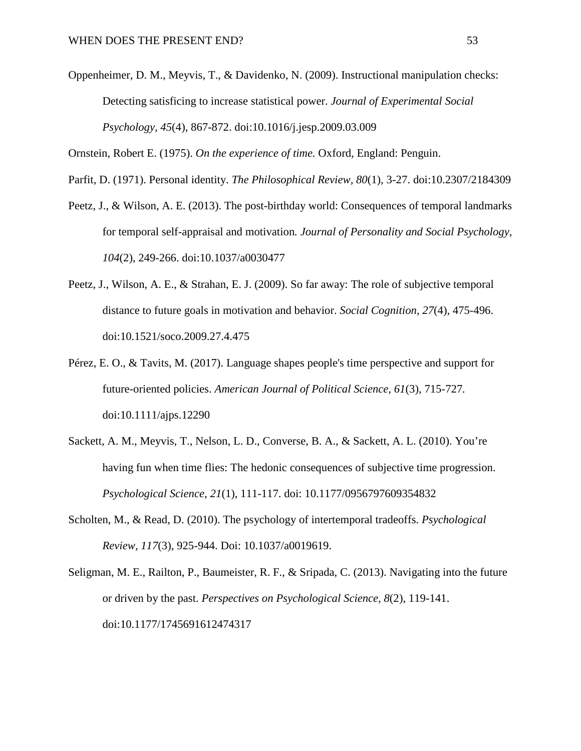Oppenheimer, D. M., Meyvis, T., & Davidenko, N. (2009). Instructional manipulation checks: Detecting satisficing to increase statistical power. *Journal of Experimental Social Psychology, 45*(4), 867-872. doi:10.1016/j.jesp.2009.03.009

Ornstein, Robert E. (1975). *On the experience of time.* Oxford, England: Penguin.

Parfit, D. (1971). Personal identity. *The Philosophical Review, 80*(1), 3-27. doi:10.2307/2184309

- Peetz, J., & Wilson, A. E. (2013). The post-birthday world: Consequences of temporal landmarks for temporal self-appraisal and motivation*. Journal of Personality and Social Psychology, 104*(2), 249-266. doi:10.1037/a0030477
- Peetz, J., Wilson, A. E., & Strahan, E. J. (2009). So far away: The role of subjective temporal distance to future goals in motivation and behavior. *Social Cognition*, *27*(4), 475-496. doi:10.1521/soco.2009.27.4.475
- Pérez, E. O., & Tavits, M. (2017). Language shapes people's time perspective and support for future-oriented policies. *American Journal of Political Science, 61*(3), 715-727*.* doi:10.1111/ajps.12290
- Sackett, A. M., Meyvis, T., Nelson, L. D., Converse, B. A., & Sackett, A. L. (2010). You're having fun when time flies: The hedonic consequences of subjective time progression. *Psychological Science*, *21*(1), 111-117. doi: 10.1177/0956797609354832
- Scholten, M., & Read, D. (2010). The psychology of intertemporal tradeoffs. *Psychological Review, 117*(3), 925-944. Doi: 10.1037/a0019619.
- Seligman, M. E., Railton, P., Baumeister, R. F., & Sripada, C. (2013). Navigating into the future or driven by the past. *Perspectives on Psychological Science, 8*(2), 119-141. doi:10.1177/1745691612474317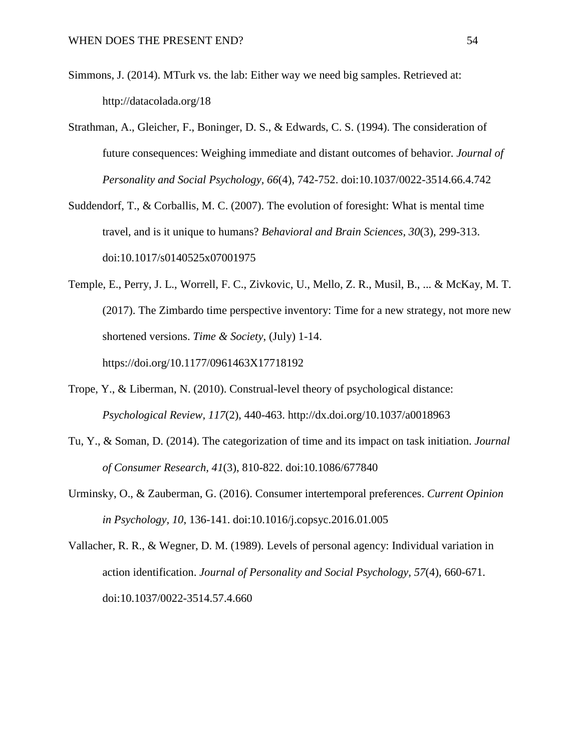- Simmons, J. (2014). MTurk vs. the lab: Either way we need big samples. Retrieved at: http://datacolada.org/18
- Strathman, A., Gleicher, F., Boninger, D. S., & Edwards, C. S. (1994). The consideration of future consequences: Weighing immediate and distant outcomes of behavior. *Journal of Personality and Social Psychology, 66*(4), 742-752. doi:10.1037/0022-3514.66.4.742
- Suddendorf, T., & Corballis, M. C. (2007). The evolution of foresight: What is mental time travel, and is it unique to humans? *Behavioral and Brain Sciences, 30*(3), 299-313. doi:10.1017/s0140525x07001975
- Temple, E., Perry, J. L., Worrell, F. C., Zivkovic, U., Mello, Z. R., Musil, B., ... & McKay, M. T. (2017). The Zimbardo time perspective inventory: Time for a new strategy, not more new shortened versions. *Time & Society*, (July) 1-14. https://doi.org/10.1177/0961463X17718192
- Trope, Y., & Liberman, N. (2010). Construal-level theory of psychological distance: *Psychological Review, 117*(2), 440-463. http://dx.doi.org/10.1037/a0018963
- Tu, Y., & Soman, D. (2014). The categorization of time and its impact on task initiation. *Journal of Consumer Research, 41*(3), 810-822. doi:10.1086/677840
- Urminsky, O., & Zauberman, G. (2016). Consumer intertemporal preferences. *Current Opinion in Psychology, 10*, 136-141. doi:10.1016/j.copsyc.2016.01.005
- Vallacher, R. R., & Wegner, D. M. (1989). Levels of personal agency: Individual variation in action identification. *Journal of Personality and Social Psychology, 57*(4), 660-671. doi:10.1037/0022-3514.57.4.660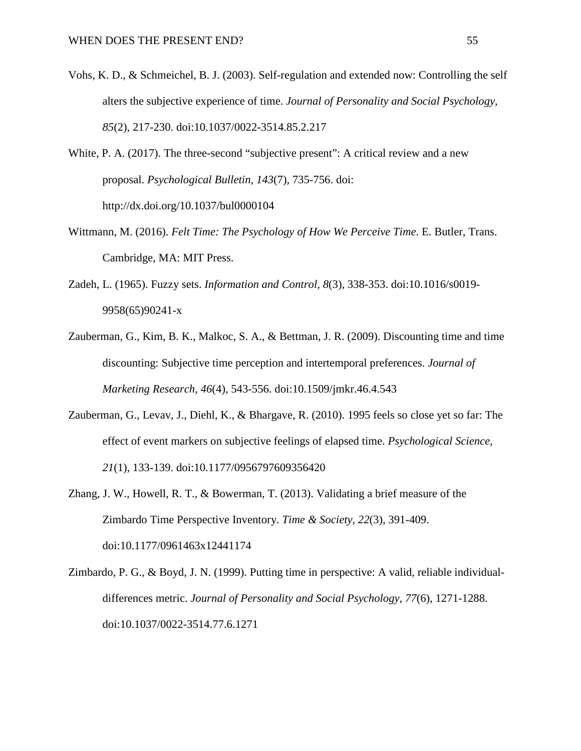- Vohs, K. D., & Schmeichel, B. J. (2003). Self-regulation and extended now: Controlling the self alters the subjective experience of time. *Journal of Personality and Social Psychology, 85*(2), 217-230. doi:10.1037/0022-3514.85.2.217
- White, P. A. (2017). The three-second "subjective present": A critical review and a new proposal. *Psychological Bulletin, 143*(7), 735-756. doi: http://dx.doi.org/10.1037/bul0000104
- Wittmann, M. (2016). *Felt Time: The Psychology of How We Perceive Time*. E. Butler, Trans. Cambridge, MA: MIT Press.
- Zadeh, L. (1965). Fuzzy sets. *Information and Control, 8*(3), 338-353. doi:10.1016/s0019- 9958(65)90241-x
- Zauberman, G., Kim, B. K., Malkoc, S. A., & Bettman, J. R. (2009). Discounting time and time discounting: Subjective time perception and intertemporal preferences. *Journal of Marketing Research, 46*(4), 543-556. doi:10.1509/jmkr.46.4.543
- Zauberman, G., Levav, J., Diehl, K., & Bhargave, R. (2010). 1995 feels so close yet so far: The effect of event markers on subjective feelings of elapsed time. *Psychological Science, 21*(1), 133-139. doi:10.1177/0956797609356420
- Zhang, J. W., Howell, R. T., & Bowerman, T. (2013). Validating a brief measure of the Zimbardo Time Perspective Inventory. *Time & Society, 22*(3), 391-409. doi:10.1177/0961463x12441174
- Zimbardo, P. G., & Boyd, J. N. (1999). Putting time in perspective: A valid, reliable individualdifferences metric. *Journal of Personality and Social Psychology, 77*(6), 1271-1288. doi:10.1037/0022-3514.77.6.1271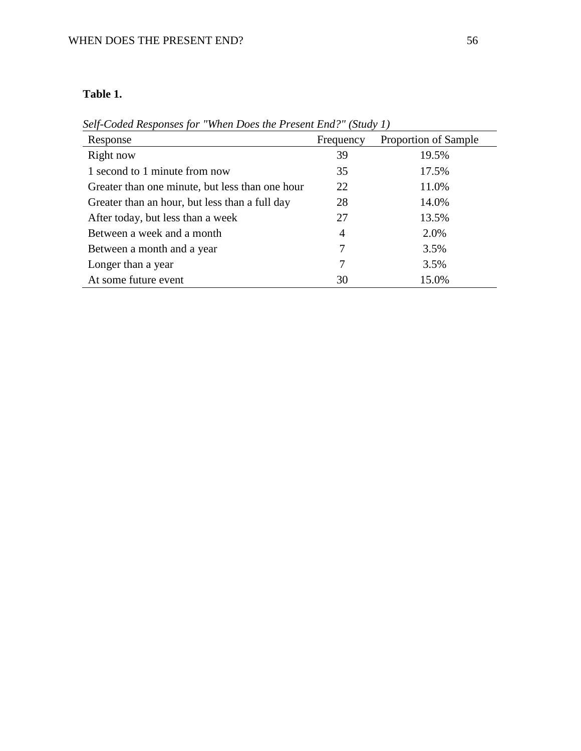## **Table 1.**

| Response                                        | Frequency | Proportion of Sample |  |  |
|-------------------------------------------------|-----------|----------------------|--|--|
| Right now                                       | 39        | 19.5%                |  |  |
| 1 second to 1 minute from now                   | 35        | 17.5%                |  |  |
| Greater than one minute, but less than one hour | 22        | 11.0%                |  |  |
| Greater than an hour, but less than a full day  | 28        | 14.0%                |  |  |
| After today, but less than a week               | 27        | 13.5%                |  |  |
| Between a week and a month                      | 4         | 2.0%                 |  |  |
| Between a month and a year                      | 7         | 3.5%                 |  |  |
| Longer than a year                              | 7         | 3.5%                 |  |  |
| At some future event                            | 30        | 15.0%                |  |  |

*Self-Coded Responses for "When Does the Present End?" (Study 1)*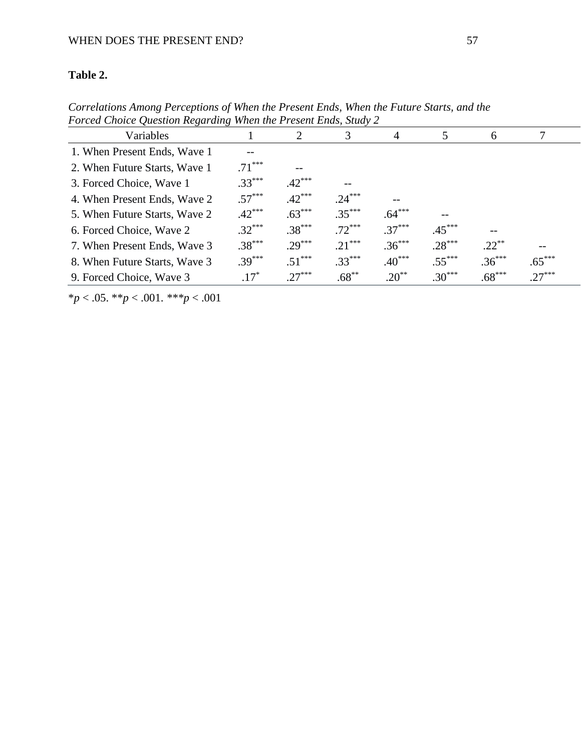# **Table 2.**

| Porcea Choice Question Regarding when the Present Enas, Study 2 |          |          |          |            |          |          |          |  |  |
|-----------------------------------------------------------------|----------|----------|----------|------------|----------|----------|----------|--|--|
| Variables                                                       |          |          | 3        | 4          | 5        | 6        |          |  |  |
| 1. When Present Ends, Wave 1                                    |          |          |          |            |          |          |          |  |  |
| 2. When Future Starts, Wave 1                                   | $.71***$ |          |          |            |          |          |          |  |  |
| 3. Forced Choice, Wave 1                                        | $.33***$ | $.42***$ | --       |            |          |          |          |  |  |
| 4. When Present Ends, Wave 2                                    | $.57***$ | $.42***$ | $.24***$ |            |          |          |          |  |  |
| 5. When Future Starts, Wave 2                                   | $.42***$ | $.63***$ | $.35***$ | $.64***$   | --       |          |          |  |  |
| 6. Forced Choice, Wave 2                                        | $.32***$ | $.38***$ | $.72***$ | $.37***$   | $.45***$ |          |          |  |  |
| 7. When Present Ends, Wave 3                                    | $.38***$ | $.29***$ | $.21***$ | $.36***$   | $.28***$ | $.22***$ |          |  |  |
| 8. When Future Starts, Wave 3                                   | $.39***$ | $.51***$ | $.33***$ | $.40***$   | $.55***$ | $.36***$ | $.65***$ |  |  |
| 9. Forced Choice, Wave 3                                        | $.17*$   | $.27***$ | $.68***$ | $.20^{**}$ | $.30***$ | $.68***$ | $.27***$ |  |  |

*Correlations Among Perceptions of When the Present Ends, When the Future Starts, and the Forced Choice Question Regarding When the Present Ends, Study 2*

\**p* < .05. \*\**p* < .001. *\*\*\*p* < .001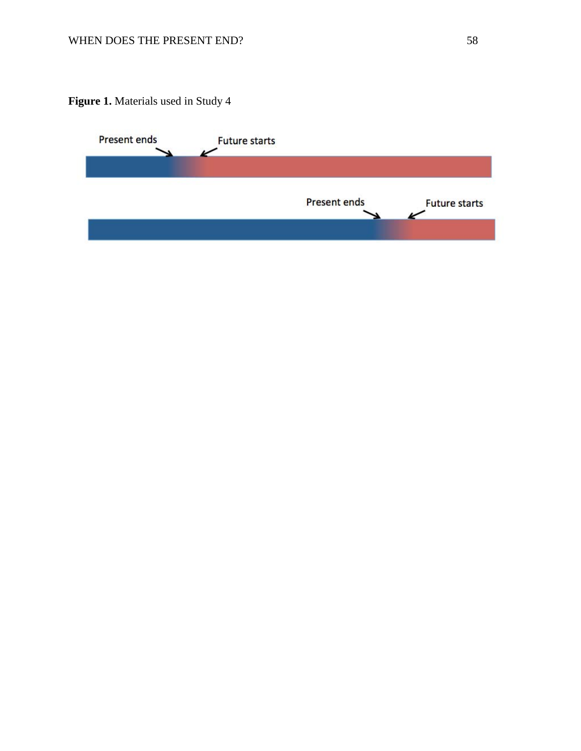**Figure 1.** Materials used in Study 4

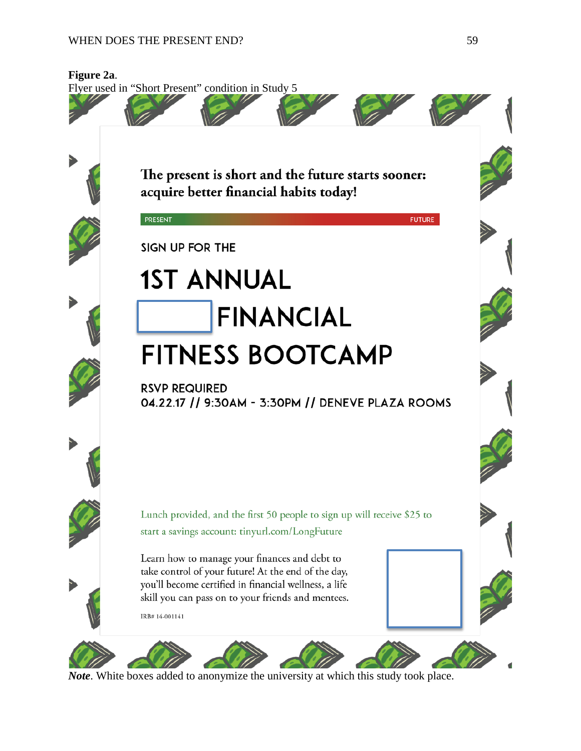## WHEN DOES THE PRESENT END? 59



*Note*. White boxes added to anonymize the university at which this study took place.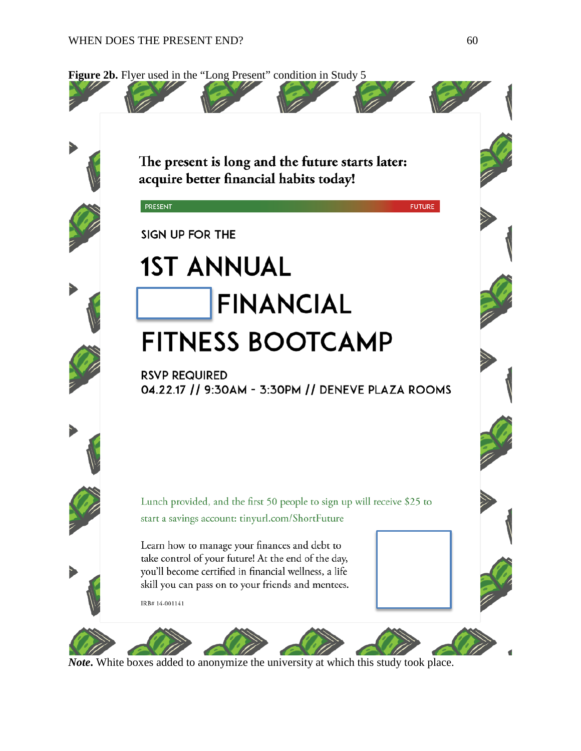PRESENT





**FUTURE** 

SIGN UP FOR THE

# **1ST ANNUAL FINANCIAL FITNESS BOOTCAMP**

**RSVP REQUIRED** 04.22.17 // 9:30AM - 3:30PM // DENEVE PLAZA ROOMS

Lunch provided, and the first 50 people to sign up will receive \$25 to start a savings account: tinyurl.com/ShortFuture

Learn how to manage your finances and debt to take control of your future! At the end of the day, you'll become certified in financial wellness, a life skill you can pass on to your friends and mentees.

IRB#14-001141



*Note***.** White boxes added to anonymize the university at which this study took place.